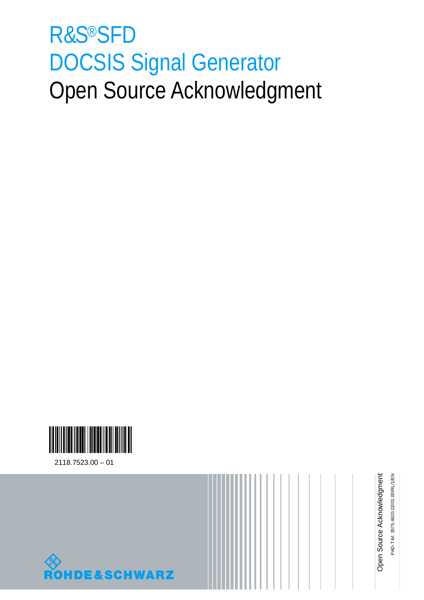# R&S®SFD DOCSIS Signal Generator Open Source Acknowledgment





PAD-T-M: 3575.4620.02/01.00/RL/1/EN PAD-T-M: 3575.4620.02/01.00/RL/1/EN Open Source Acknowledgment Open Source Acknowledgment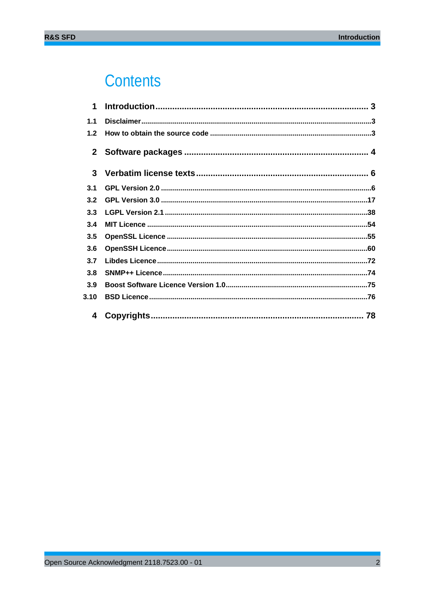# Contents

| 1            |  |
|--------------|--|
| 1.1          |  |
| 1.2          |  |
| $\mathbf{2}$ |  |
| 3            |  |
| 3.1          |  |
| 3.2          |  |
| 3.3          |  |
| 3.4          |  |
| 3.5          |  |
| 3.6          |  |
| 3.7          |  |
| 3.8          |  |
| 3.9          |  |
| 3.10         |  |
| 4            |  |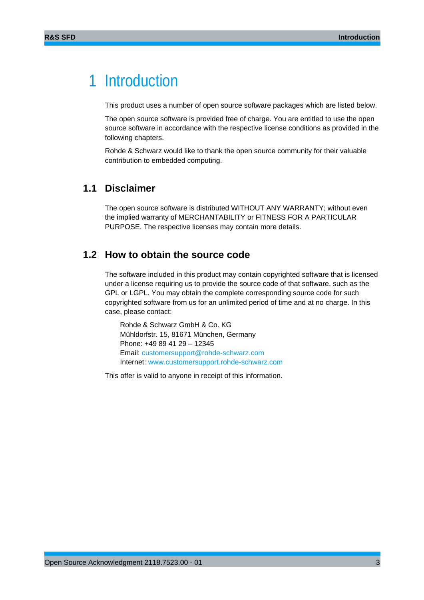# 1 Introduction

This product uses a number of open source software packages which are listed below.

The open source software is provided free of charge. You are entitled to use the open source software in accordance with the respective license conditions as provided in the following chapters.

Rohde & Schwarz would like to thank the open source community for their valuable contribution to embedded computing.

### **1.1 Disclaimer**

The open source software is distributed WITHOUT ANY WARRANTY; without even the implied warranty of MERCHANTABILITY or FITNESS FOR A PARTICULAR PURPOSE. The respective licenses may contain more details.

### **1.2 How to obtain the source code**

The software included in this product may contain copyrighted software that is licensed under a license requiring us to provide the source code of that software, such as the GPL or LGPL. You may obtain the complete corresponding source code for such copyrighted software from us for an unlimited period of time and at no charge. In this case, please contact:

Rohde & Schwarz GmbH & Co. KG Mühldorfstr. 15, 81671 München, Germany Phone: +49 89 41 29 – 12345 Email: customersupport@rohde-schwarz.com Internet: www.customersupport.rohde-schwarz.com

This offer is valid to anyone in receipt of this information.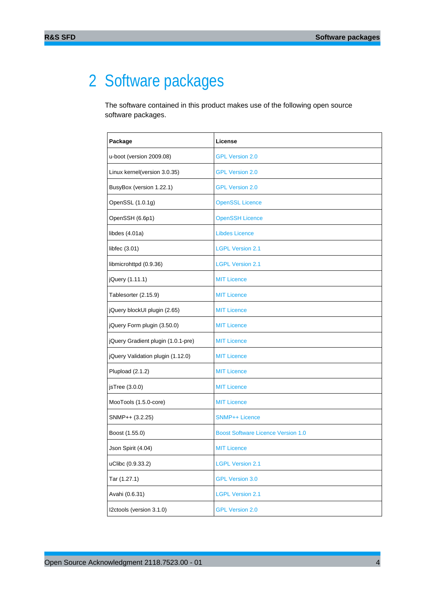# 2 Software packages

The software contained in this product makes use of the following open source software packages.

| Package                            | License                                   |
|------------------------------------|-------------------------------------------|
| u-boot (version 2009.08)           | <b>GPL Version 2.0</b>                    |
| Linux kernel(version 3.0.35)       | <b>GPL Version 2.0</b>                    |
| BusyBox (version 1.22.1)           | <b>GPL Version 2.0</b>                    |
| OpenSSL (1.0.1g)                   | <b>OpenSSL Licence</b>                    |
| OpenSSH (6.6p1)                    | <b>OpenSSH Licence</b>                    |
| libdes $(4.01a)$                   | <b>Libdes Licence</b>                     |
| libfec (3.01)                      | <b>LGPL Version 2.1</b>                   |
| libmicrohttpd (0.9.36)             | <b>LGPL Version 2.1</b>                   |
| jQuery (1.11.1)                    | <b>MIT Licence</b>                        |
| Tablesorter (2.15.9)               | <b>MIT Licence</b>                        |
| jQuery blockUI plugin (2.65)       | <b>MIT Licence</b>                        |
| jQuery Form plugin (3.50.0)        | <b>MIT Licence</b>                        |
| jQuery Gradient plugin (1.0.1-pre) | <b>MIT Licence</b>                        |
| jQuery Validation plugin (1.12.0)  | <b>MIT Licence</b>                        |
| Plupload (2.1.2)                   | <b>MIT Licence</b>                        |
| jsTree (3.0.0)                     | <b>MIT Licence</b>                        |
| MooTools (1.5.0-core)              | <b>MIT Licence</b>                        |
| SNMP++ (3.2.25)                    | <b>SNMP++ Licence</b>                     |
| Boost (1.55.0)                     | <b>Boost Software Licence Version 1.0</b> |
| Json Spirit (4.04)                 | <b>MIT Licence</b>                        |
| uClibc (0.9.33.2)                  | <b>LGPL Version 2.1</b>                   |
| Tar (1.27.1)                       | <b>GPL Version 3.0</b>                    |
| Avahi (0.6.31)                     | <b>LGPL Version 2.1</b>                   |
| I2ctools (version 3.1.0)           | <b>GPL Version 2.0</b>                    |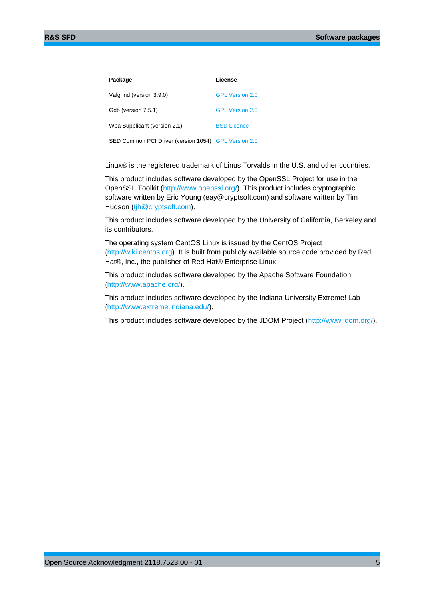| Package                                              | License                |
|------------------------------------------------------|------------------------|
| Valgrind (version 3.9.0)                             | <b>GPL Version 2.0</b> |
| Gdb (version 7.5.1)                                  | <b>GPL Version 2.0</b> |
| Wpa Supplicant (version 2.1)                         | <b>BSD Licence</b>     |
| SED Common PCI Driver (version 1054) GPL Version 2.0 |                        |

Linux® is the registered trademark of Linus Torvalds in the U.S. and other countries.

This product includes software developed by the OpenSSL Project for use in the OpenSSL Toolkit (http://www.openssl.org/). This product includes cryptographic software written by Eric Young (eay@cryptsoft.com) and software written by Tim Hudson (tjh@cryptsoft.com).

This product includes software developed by the University of California, Berkeley and its contributors.

The operating system CentOS Linux is issued by the CentOS Project (http://wiki.centos.org). It is built from publicly available source code provided by Red Hat®, Inc., the publisher of Red Hat® Enterprise Linux.

This product includes software developed by the Apache Software Foundation (http://www.apache.org/).

This product includes software developed by the Indiana University Extreme! Lab (http://www.extreme.indiana.edu/).

This product includes software developed by the JDOM Project (http://www.jdom.org/).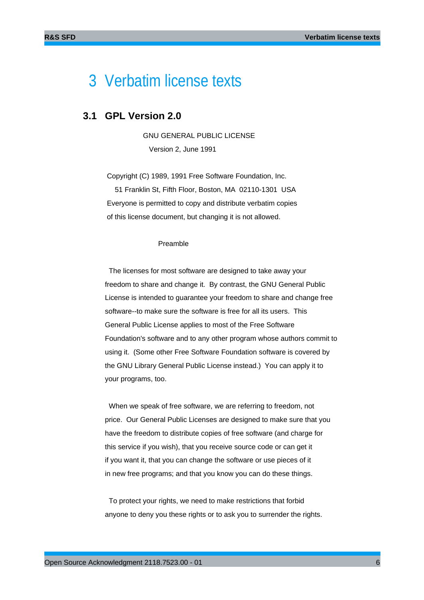# 3 Verbatim license texts

### **3.1 GPL Version 2.0**

 GNU GENERAL PUBLIC LICENSE Version 2, June 1991

 Copyright (C) 1989, 1991 Free Software Foundation, Inc. 51 Franklin St, Fifth Floor, Boston, MA 02110-1301 USA Everyone is permitted to copy and distribute verbatim copies of this license document, but changing it is not allowed.

#### Preamble

 The licenses for most software are designed to take away your freedom to share and change it. By contrast, the GNU General Public License is intended to guarantee your freedom to share and change free software--to make sure the software is free for all its users. This General Public License applies to most of the Free Software Foundation's software and to any other program whose authors commit to using it. (Some other Free Software Foundation software is covered by the GNU Library General Public License instead.) You can apply it to your programs, too.

 When we speak of free software, we are referring to freedom, not price. Our General Public Licenses are designed to make sure that you have the freedom to distribute copies of free software (and charge for this service if you wish), that you receive source code or can get it if you want it, that you can change the software or use pieces of it in new free programs; and that you know you can do these things.

 To protect your rights, we need to make restrictions that forbid anyone to deny you these rights or to ask you to surrender the rights.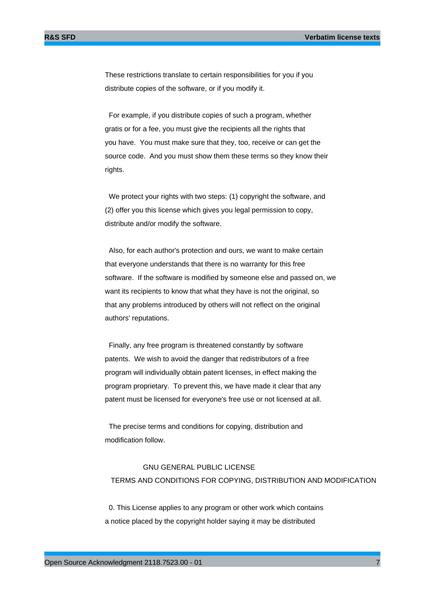These restrictions translate to certain responsibilities for you if you distribute copies of the software, or if you modify it.

 For example, if you distribute copies of such a program, whether gratis or for a fee, you must give the recipients all the rights that you have. You must make sure that they, too, receive or can get the source code. And you must show them these terms so they know their rights.

 We protect your rights with two steps: (1) copyright the software, and (2) offer you this license which gives you legal permission to copy, distribute and/or modify the software.

 Also, for each author's protection and ours, we want to make certain that everyone understands that there is no warranty for this free software. If the software is modified by someone else and passed on, we want its recipients to know that what they have is not the original, so that any problems introduced by others will not reflect on the original authors' reputations.

 Finally, any free program is threatened constantly by software patents. We wish to avoid the danger that redistributors of a free program will individually obtain patent licenses, in effect making the program proprietary. To prevent this, we have made it clear that any patent must be licensed for everyone's free use or not licensed at all.

 The precise terms and conditions for copying, distribution and modification follow.

## GNU GENERAL PUBLIC LICENSE TERMS AND CONDITIONS FOR COPYING, DISTRIBUTION AND MODIFICATION

 0. This License applies to any program or other work which contains a notice placed by the copyright holder saying it may be distributed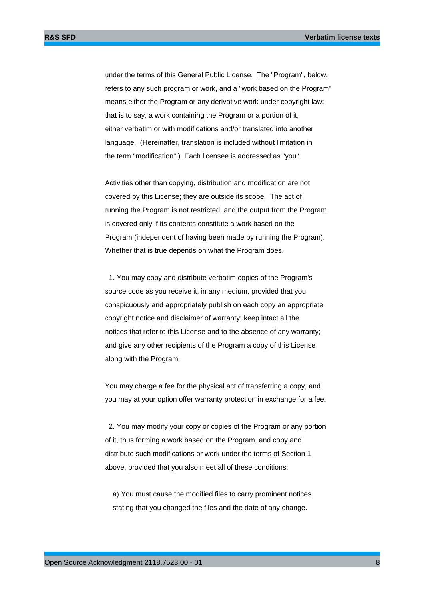under the terms of this General Public License. The "Program", below, refers to any such program or work, and a "work based on the Program" means either the Program or any derivative work under copyright law: that is to say, a work containing the Program or a portion of it, either verbatim or with modifications and/or translated into another language. (Hereinafter, translation is included without limitation in the term "modification".) Each licensee is addressed as "you".

Activities other than copying, distribution and modification are not covered by this License; they are outside its scope. The act of running the Program is not restricted, and the output from the Program is covered only if its contents constitute a work based on the Program (independent of having been made by running the Program). Whether that is true depends on what the Program does.

 1. You may copy and distribute verbatim copies of the Program's source code as you receive it, in any medium, provided that you conspicuously and appropriately publish on each copy an appropriate copyright notice and disclaimer of warranty; keep intact all the notices that refer to this License and to the absence of any warranty; and give any other recipients of the Program a copy of this License along with the Program.

You may charge a fee for the physical act of transferring a copy, and you may at your option offer warranty protection in exchange for a fee.

 2. You may modify your copy or copies of the Program or any portion of it, thus forming a work based on the Program, and copy and distribute such modifications or work under the terms of Section 1 above, provided that you also meet all of these conditions:

 a) You must cause the modified files to carry prominent notices stating that you changed the files and the date of any change.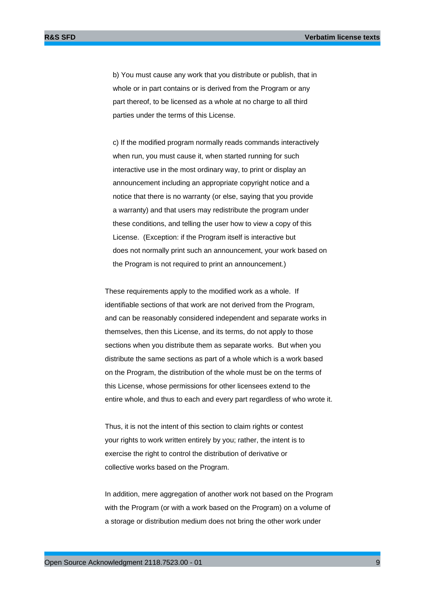b) You must cause any work that you distribute or publish, that in whole or in part contains or is derived from the Program or any part thereof, to be licensed as a whole at no charge to all third parties under the terms of this License.

 c) If the modified program normally reads commands interactively when run, you must cause it, when started running for such interactive use in the most ordinary way, to print or display an announcement including an appropriate copyright notice and a notice that there is no warranty (or else, saying that you provide a warranty) and that users may redistribute the program under these conditions, and telling the user how to view a copy of this License. (Exception: if the Program itself is interactive but does not normally print such an announcement, your work based on the Program is not required to print an announcement.)

These requirements apply to the modified work as a whole. If identifiable sections of that work are not derived from the Program, and can be reasonably considered independent and separate works in themselves, then this License, and its terms, do not apply to those sections when you distribute them as separate works. But when you distribute the same sections as part of a whole which is a work based on the Program, the distribution of the whole must be on the terms of this License, whose permissions for other licensees extend to the entire whole, and thus to each and every part regardless of who wrote it.

Thus, it is not the intent of this section to claim rights or contest your rights to work written entirely by you; rather, the intent is to exercise the right to control the distribution of derivative or collective works based on the Program.

In addition, mere aggregation of another work not based on the Program with the Program (or with a work based on the Program) on a volume of a storage or distribution medium does not bring the other work under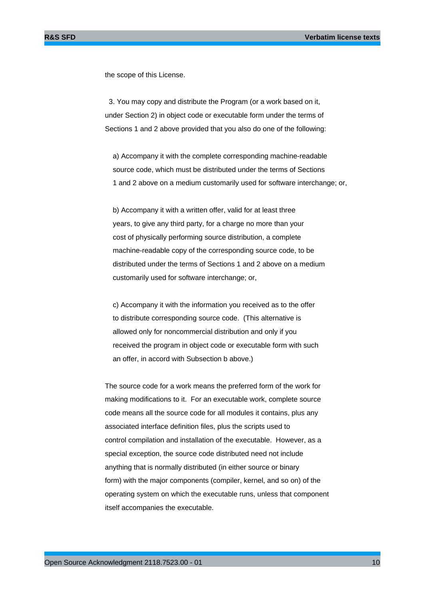the scope of this License.

 3. You may copy and distribute the Program (or a work based on it, under Section 2) in object code or executable form under the terms of Sections 1 and 2 above provided that you also do one of the following:

 a) Accompany it with the complete corresponding machine-readable source code, which must be distributed under the terms of Sections 1 and 2 above on a medium customarily used for software interchange; or,

 b) Accompany it with a written offer, valid for at least three years, to give any third party, for a charge no more than your cost of physically performing source distribution, a complete machine-readable copy of the corresponding source code, to be distributed under the terms of Sections 1 and 2 above on a medium customarily used for software interchange; or,

 c) Accompany it with the information you received as to the offer to distribute corresponding source code. (This alternative is allowed only for noncommercial distribution and only if you received the program in object code or executable form with such an offer, in accord with Subsection b above.)

The source code for a work means the preferred form of the work for making modifications to it. For an executable work, complete source code means all the source code for all modules it contains, plus any associated interface definition files, plus the scripts used to control compilation and installation of the executable. However, as a special exception, the source code distributed need not include anything that is normally distributed (in either source or binary form) with the major components (compiler, kernel, and so on) of the operating system on which the executable runs, unless that component itself accompanies the executable.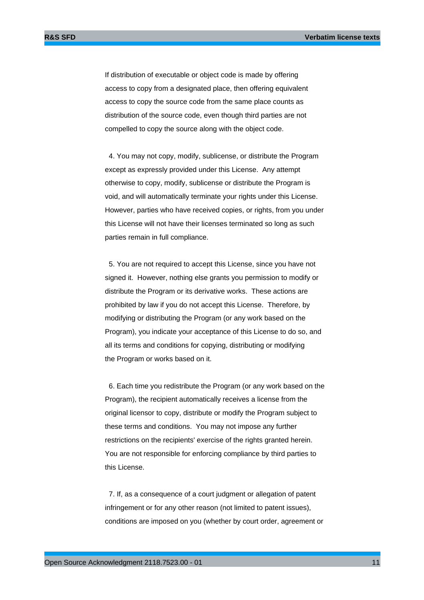If distribution of executable or object code is made by offering access to copy from a designated place, then offering equivalent access to copy the source code from the same place counts as distribution of the source code, even though third parties are not compelled to copy the source along with the object code.

 4. You may not copy, modify, sublicense, or distribute the Program except as expressly provided under this License. Any attempt otherwise to copy, modify, sublicense or distribute the Program is void, and will automatically terminate your rights under this License. However, parties who have received copies, or rights, from you under this License will not have their licenses terminated so long as such parties remain in full compliance.

 5. You are not required to accept this License, since you have not signed it. However, nothing else grants you permission to modify or distribute the Program or its derivative works. These actions are prohibited by law if you do not accept this License. Therefore, by modifying or distributing the Program (or any work based on the Program), you indicate your acceptance of this License to do so, and all its terms and conditions for copying, distributing or modifying the Program or works based on it.

 6. Each time you redistribute the Program (or any work based on the Program), the recipient automatically receives a license from the original licensor to copy, distribute or modify the Program subject to these terms and conditions. You may not impose any further restrictions on the recipients' exercise of the rights granted herein. You are not responsible for enforcing compliance by third parties to this License.

 7. If, as a consequence of a court judgment or allegation of patent infringement or for any other reason (not limited to patent issues), conditions are imposed on you (whether by court order, agreement or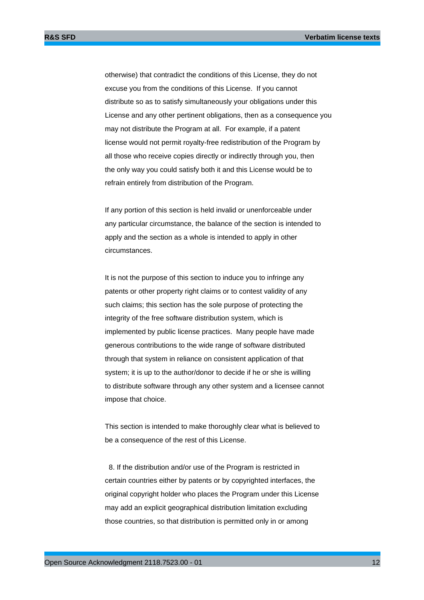otherwise) that contradict the conditions of this License, they do not excuse you from the conditions of this License. If you cannot distribute so as to satisfy simultaneously your obligations under this License and any other pertinent obligations, then as a consequence you may not distribute the Program at all. For example, if a patent license would not permit royalty-free redistribution of the Program by all those who receive copies directly or indirectly through you, then the only way you could satisfy both it and this License would be to refrain entirely from distribution of the Program.

If any portion of this section is held invalid or unenforceable under any particular circumstance, the balance of the section is intended to apply and the section as a whole is intended to apply in other circumstances.

It is not the purpose of this section to induce you to infringe any patents or other property right claims or to contest validity of any such claims; this section has the sole purpose of protecting the integrity of the free software distribution system, which is implemented by public license practices. Many people have made generous contributions to the wide range of software distributed through that system in reliance on consistent application of that system; it is up to the author/donor to decide if he or she is willing to distribute software through any other system and a licensee cannot impose that choice.

This section is intended to make thoroughly clear what is believed to be a consequence of the rest of this License.

 8. If the distribution and/or use of the Program is restricted in certain countries either by patents or by copyrighted interfaces, the original copyright holder who places the Program under this License may add an explicit geographical distribution limitation excluding those countries, so that distribution is permitted only in or among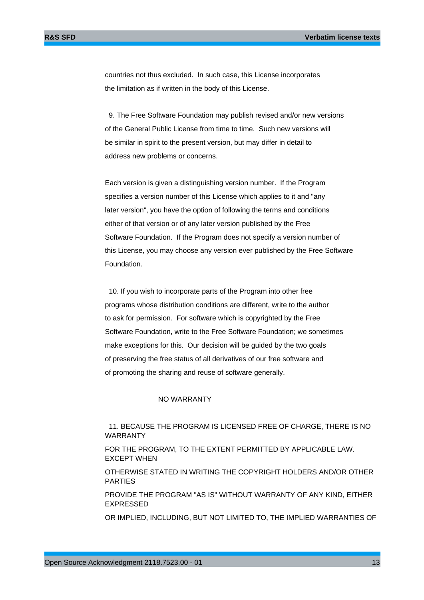countries not thus excluded. In such case, this License incorporates the limitation as if written in the body of this License.

 9. The Free Software Foundation may publish revised and/or new versions of the General Public License from time to time. Such new versions will be similar in spirit to the present version, but may differ in detail to address new problems or concerns.

Each version is given a distinguishing version number. If the Program specifies a version number of this License which applies to it and "any later version", you have the option of following the terms and conditions either of that version or of any later version published by the Free Software Foundation. If the Program does not specify a version number of this License, you may choose any version ever published by the Free Software Foundation.

 10. If you wish to incorporate parts of the Program into other free programs whose distribution conditions are different, write to the author to ask for permission. For software which is copyrighted by the Free Software Foundation, write to the Free Software Foundation; we sometimes make exceptions for this. Our decision will be guided by the two goals of preserving the free status of all derivatives of our free software and of promoting the sharing and reuse of software generally.

#### NO WARRANTY

 11. BECAUSE THE PROGRAM IS LICENSED FREE OF CHARGE, THERE IS NO WARRANTY

FOR THE PROGRAM, TO THE EXTENT PERMITTED BY APPLICABLE LAW. EXCEPT WHEN

OTHERWISE STATED IN WRITING THE COPYRIGHT HOLDERS AND/OR OTHER PARTIES

PROVIDE THE PROGRAM "AS IS" WITHOUT WARRANTY OF ANY KIND, EITHER EXPRESSED

OR IMPLIED, INCLUDING, BUT NOT LIMITED TO, THE IMPLIED WARRANTIES OF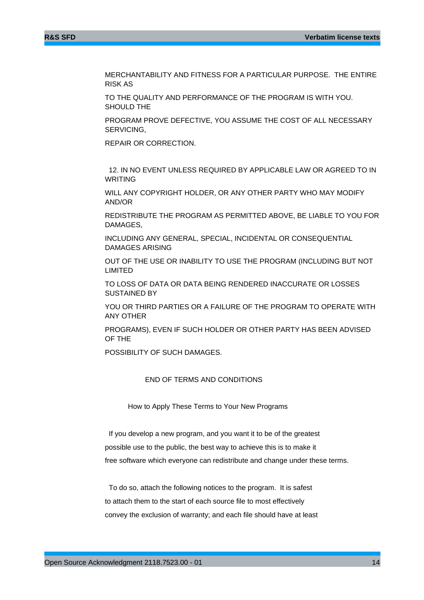MERCHANTABILITY AND FITNESS FOR A PARTICULAR PURPOSE. THE ENTIRE RISK AS

TO THE QUALITY AND PERFORMANCE OF THE PROGRAM IS WITH YOU. SHOULD THE

PROGRAM PROVE DEFECTIVE, YOU ASSUME THE COST OF ALL NECESSARY SERVICING,

REPAIR OR CORRECTION.

 12. IN NO EVENT UNLESS REQUIRED BY APPLICABLE LAW OR AGREED TO IN WRITING

WILL ANY COPYRIGHT HOLDER, OR ANY OTHER PARTY WHO MAY MODIFY AND/OR

REDISTRIBUTE THE PROGRAM AS PERMITTED ABOVE, BE LIABLE TO YOU FOR DAMAGES,

INCLUDING ANY GENERAL, SPECIAL, INCIDENTAL OR CONSEQUENTIAL DAMAGES ARISING

OUT OF THE USE OR INABILITY TO USE THE PROGRAM (INCLUDING BUT NOT LIMITED

TO LOSS OF DATA OR DATA BEING RENDERED INACCURATE OR LOSSES SUSTAINED BY

YOU OR THIRD PARTIES OR A FAILURE OF THE PROGRAM TO OPERATE WITH ANY OTHER

PROGRAMS), EVEN IF SUCH HOLDER OR OTHER PARTY HAS BEEN ADVISED OF THE

POSSIBILITY OF SUCH DAMAGES.

#### END OF TERMS AND CONDITIONS

How to Apply These Terms to Your New Programs

 If you develop a new program, and you want it to be of the greatest possible use to the public, the best way to achieve this is to make it free software which everyone can redistribute and change under these terms.

 To do so, attach the following notices to the program. It is safest to attach them to the start of each source file to most effectively convey the exclusion of warranty; and each file should have at least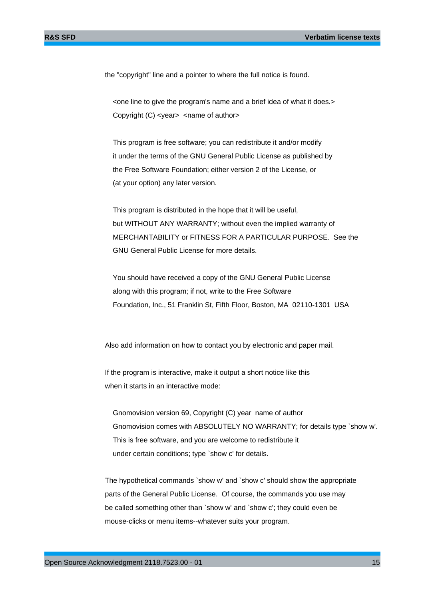the "copyright" line and a pointer to where the full notice is found.

 <one line to give the program's name and a brief idea of what it does.> Copyright (C) <year> <name of author>

 This program is free software; you can redistribute it and/or modify it under the terms of the GNU General Public License as published by the Free Software Foundation; either version 2 of the License, or (at your option) any later version.

 This program is distributed in the hope that it will be useful, but WITHOUT ANY WARRANTY; without even the implied warranty of MERCHANTABILITY or FITNESS FOR A PARTICULAR PURPOSE. See the GNU General Public License for more details.

 You should have received a copy of the GNU General Public License along with this program; if not, write to the Free Software Foundation, Inc., 51 Franklin St, Fifth Floor, Boston, MA 02110-1301 USA

Also add information on how to contact you by electronic and paper mail.

If the program is interactive, make it output a short notice like this when it starts in an interactive mode:

 Gnomovision version 69, Copyright (C) year name of author Gnomovision comes with ABSOLUTELY NO WARRANTY; for details type `show w'. This is free software, and you are welcome to redistribute it under certain conditions; type `show c' for details.

The hypothetical commands `show w' and `show c' should show the appropriate parts of the General Public License. Of course, the commands you use may be called something other than `show w' and `show c'; they could even be mouse-clicks or menu items--whatever suits your program.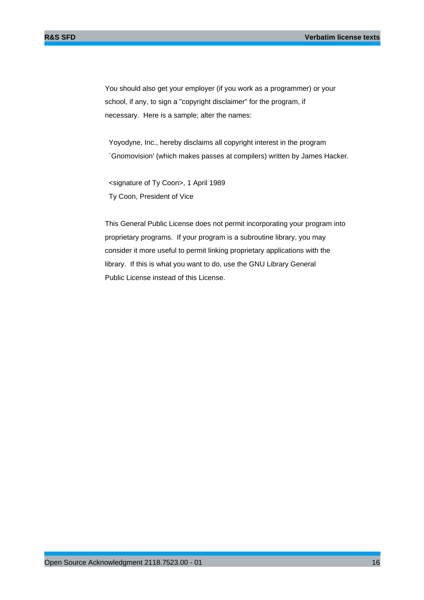You should also get your employer (if you work as a programmer) or your school, if any, to sign a "copyright disclaimer" for the program, if necessary. Here is a sample; alter the names:

 Yoyodyne, Inc., hereby disclaims all copyright interest in the program `Gnomovision' (which makes passes at compilers) written by James Hacker.

 <signature of Ty Coon>, 1 April 1989 Ty Coon, President of Vice

This General Public License does not permit incorporating your program into proprietary programs. If your program is a subroutine library, you may consider it more useful to permit linking proprietary applications with the library. If this is what you want to do, use the GNU Library General Public License instead of this License.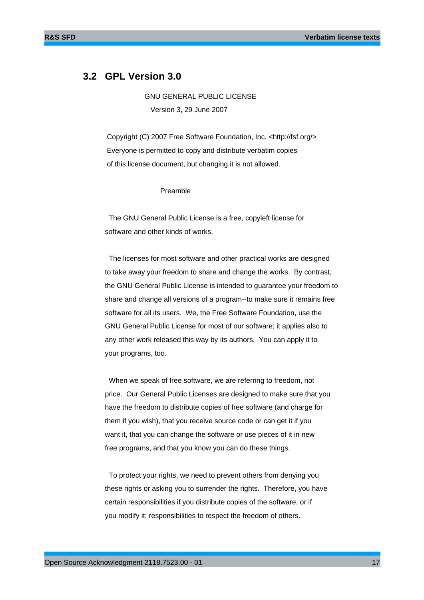### **3.2 GPL Version 3.0**

 GNU GENERAL PUBLIC LICENSE Version 3, 29 June 2007

 Copyright (C) 2007 Free Software Foundation, Inc. <http://fsf.org/> Everyone is permitted to copy and distribute verbatim copies of this license document, but changing it is not allowed.

#### Preamble

 The GNU General Public License is a free, copyleft license for software and other kinds of works.

 The licenses for most software and other practical works are designed to take away your freedom to share and change the works. By contrast, the GNU General Public License is intended to guarantee your freedom to share and change all versions of a program--to make sure it remains free software for all its users. We, the Free Software Foundation, use the GNU General Public License for most of our software; it applies also to any other work released this way by its authors. You can apply it to your programs, too.

 When we speak of free software, we are referring to freedom, not price. Our General Public Licenses are designed to make sure that you have the freedom to distribute copies of free software (and charge for them if you wish), that you receive source code or can get it if you want it, that you can change the software or use pieces of it in new free programs, and that you know you can do these things.

 To protect your rights, we need to prevent others from denying you these rights or asking you to surrender the rights. Therefore, you have certain responsibilities if you distribute copies of the software, or if you modify it: responsibilities to respect the freedom of others.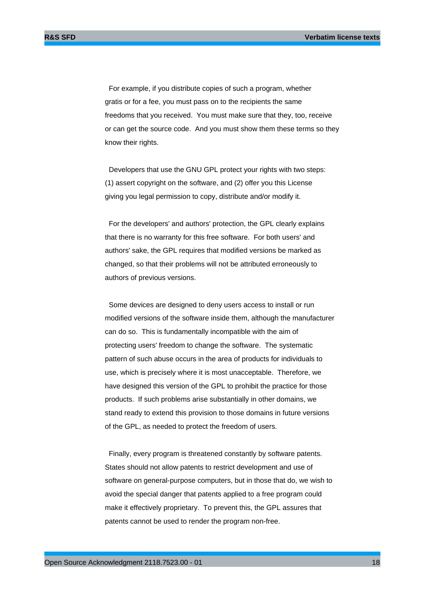For example, if you distribute copies of such a program, whether gratis or for a fee, you must pass on to the recipients the same freedoms that you received. You must make sure that they, too, receive or can get the source code. And you must show them these terms so they know their rights.

 Developers that use the GNU GPL protect your rights with two steps: (1) assert copyright on the software, and (2) offer you this License giving you legal permission to copy, distribute and/or modify it.

 For the developers' and authors' protection, the GPL clearly explains that there is no warranty for this free software. For both users' and authors' sake, the GPL requires that modified versions be marked as changed, so that their problems will not be attributed erroneously to authors of previous versions.

 Some devices are designed to deny users access to install or run modified versions of the software inside them, although the manufacturer can do so. This is fundamentally incompatible with the aim of protecting users' freedom to change the software. The systematic pattern of such abuse occurs in the area of products for individuals to use, which is precisely where it is most unacceptable. Therefore, we have designed this version of the GPL to prohibit the practice for those products. If such problems arise substantially in other domains, we stand ready to extend this provision to those domains in future versions of the GPL, as needed to protect the freedom of users.

 Finally, every program is threatened constantly by software patents. States should not allow patents to restrict development and use of software on general-purpose computers, but in those that do, we wish to avoid the special danger that patents applied to a free program could make it effectively proprietary. To prevent this, the GPL assures that patents cannot be used to render the program non-free.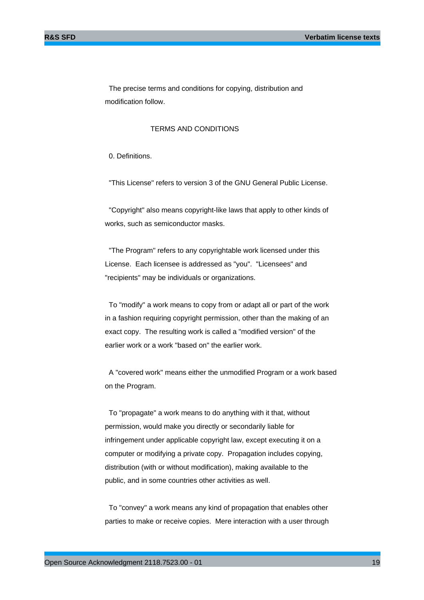The precise terms and conditions for copying, distribution and modification follow.

#### TERMS AND CONDITIONS

0. Definitions.

"This License" refers to version 3 of the GNU General Public License.

 "Copyright" also means copyright-like laws that apply to other kinds of works, such as semiconductor masks.

 "The Program" refers to any copyrightable work licensed under this License. Each licensee is addressed as "you". "Licensees" and "recipients" may be individuals or organizations.

 To "modify" a work means to copy from or adapt all or part of the work in a fashion requiring copyright permission, other than the making of an exact copy. The resulting work is called a "modified version" of the earlier work or a work "based on" the earlier work.

 A "covered work" means either the unmodified Program or a work based on the Program.

 To "propagate" a work means to do anything with it that, without permission, would make you directly or secondarily liable for infringement under applicable copyright law, except executing it on a computer or modifying a private copy. Propagation includes copying, distribution (with or without modification), making available to the public, and in some countries other activities as well.

 To "convey" a work means any kind of propagation that enables other parties to make or receive copies. Mere interaction with a user through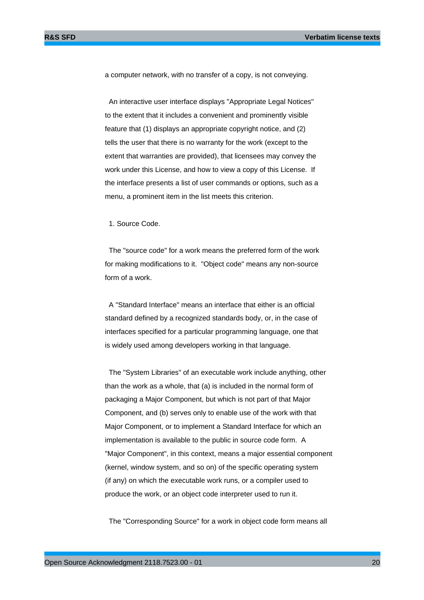a computer network, with no transfer of a copy, is not conveying.

 An interactive user interface displays "Appropriate Legal Notices" to the extent that it includes a convenient and prominently visible feature that (1) displays an appropriate copyright notice, and (2) tells the user that there is no warranty for the work (except to the extent that warranties are provided), that licensees may convey the work under this License, and how to view a copy of this License. If the interface presents a list of user commands or options, such as a menu, a prominent item in the list meets this criterion.

1. Source Code.

 The "source code" for a work means the preferred form of the work for making modifications to it. "Object code" means any non-source form of a work.

 A "Standard Interface" means an interface that either is an official standard defined by a recognized standards body, or, in the case of interfaces specified for a particular programming language, one that is widely used among developers working in that language.

 The "System Libraries" of an executable work include anything, other than the work as a whole, that (a) is included in the normal form of packaging a Major Component, but which is not part of that Major Component, and (b) serves only to enable use of the work with that Major Component, or to implement a Standard Interface for which an implementation is available to the public in source code form. A "Major Component", in this context, means a major essential component (kernel, window system, and so on) of the specific operating system (if any) on which the executable work runs, or a compiler used to produce the work, or an object code interpreter used to run it.

The "Corresponding Source" for a work in object code form means all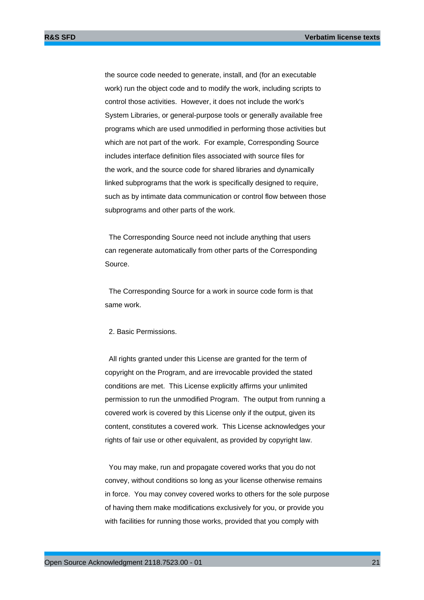the source code needed to generate, install, and (for an executable work) run the object code and to modify the work, including scripts to control those activities. However, it does not include the work's System Libraries, or general-purpose tools or generally available free programs which are used unmodified in performing those activities but which are not part of the work. For example, Corresponding Source includes interface definition files associated with source files for the work, and the source code for shared libraries and dynamically linked subprograms that the work is specifically designed to require, such as by intimate data communication or control flow between those subprograms and other parts of the work.

 The Corresponding Source need not include anything that users can regenerate automatically from other parts of the Corresponding Source.

 The Corresponding Source for a work in source code form is that same work.

#### 2. Basic Permissions.

 All rights granted under this License are granted for the term of copyright on the Program, and are irrevocable provided the stated conditions are met. This License explicitly affirms your unlimited permission to run the unmodified Program. The output from running a covered work is covered by this License only if the output, given its content, constitutes a covered work. This License acknowledges your rights of fair use or other equivalent, as provided by copyright law.

 You may make, run and propagate covered works that you do not convey, without conditions so long as your license otherwise remains in force. You may convey covered works to others for the sole purpose of having them make modifications exclusively for you, or provide you with facilities for running those works, provided that you comply with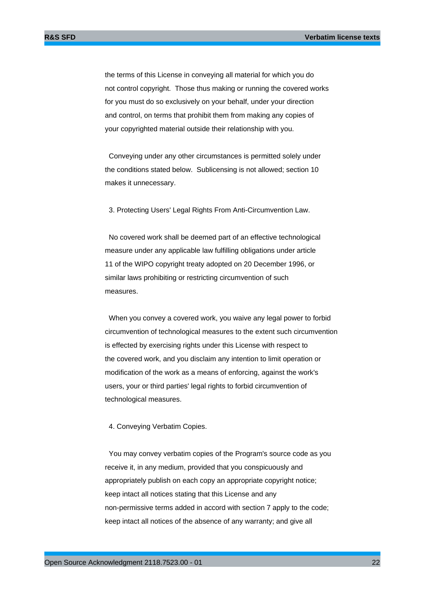the terms of this License in conveying all material for which you do not control copyright. Those thus making or running the covered works for you must do so exclusively on your behalf, under your direction and control, on terms that prohibit them from making any copies of your copyrighted material outside their relationship with you.

 Conveying under any other circumstances is permitted solely under the conditions stated below. Sublicensing is not allowed; section 10 makes it unnecessary.

3. Protecting Users' Legal Rights From Anti-Circumvention Law.

 No covered work shall be deemed part of an effective technological measure under any applicable law fulfilling obligations under article 11 of the WIPO copyright treaty adopted on 20 December 1996, or similar laws prohibiting or restricting circumvention of such measures.

 When you convey a covered work, you waive any legal power to forbid circumvention of technological measures to the extent such circumvention is effected by exercising rights under this License with respect to the covered work, and you disclaim any intention to limit operation or modification of the work as a means of enforcing, against the work's users, your or third parties' legal rights to forbid circumvention of technological measures.

#### 4. Conveying Verbatim Copies.

 You may convey verbatim copies of the Program's source code as you receive it, in any medium, provided that you conspicuously and appropriately publish on each copy an appropriate copyright notice; keep intact all notices stating that this License and any non-permissive terms added in accord with section 7 apply to the code; keep intact all notices of the absence of any warranty; and give all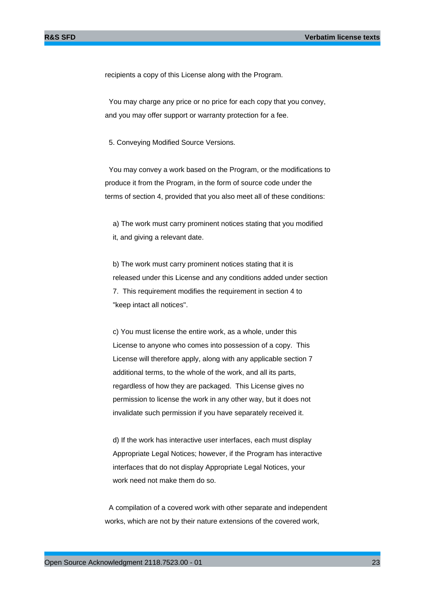recipients a copy of this License along with the Program.

 You may charge any price or no price for each copy that you convey, and you may offer support or warranty protection for a fee.

5. Conveying Modified Source Versions.

 You may convey a work based on the Program, or the modifications to produce it from the Program, in the form of source code under the terms of section 4, provided that you also meet all of these conditions:

 a) The work must carry prominent notices stating that you modified it, and giving a relevant date.

 b) The work must carry prominent notices stating that it is released under this License and any conditions added under section 7. This requirement modifies the requirement in section 4 to "keep intact all notices".

 c) You must license the entire work, as a whole, under this License to anyone who comes into possession of a copy. This License will therefore apply, along with any applicable section 7 additional terms, to the whole of the work, and all its parts, regardless of how they are packaged. This License gives no permission to license the work in any other way, but it does not invalidate such permission if you have separately received it.

 d) If the work has interactive user interfaces, each must display Appropriate Legal Notices; however, if the Program has interactive interfaces that do not display Appropriate Legal Notices, your work need not make them do so.

 A compilation of a covered work with other separate and independent works, which are not by their nature extensions of the covered work,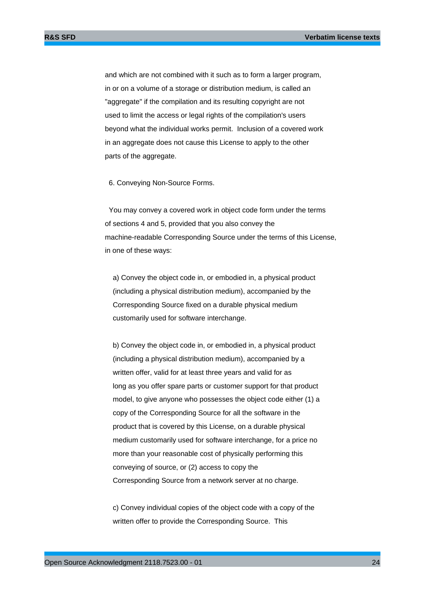and which are not combined with it such as to form a larger program, in or on a volume of a storage or distribution medium, is called an "aggregate" if the compilation and its resulting copyright are not used to limit the access or legal rights of the compilation's users beyond what the individual works permit. Inclusion of a covered work in an aggregate does not cause this License to apply to the other parts of the aggregate.

6. Conveying Non-Source Forms.

 You may convey a covered work in object code form under the terms of sections 4 and 5, provided that you also convey the machine-readable Corresponding Source under the terms of this License, in one of these ways:

 a) Convey the object code in, or embodied in, a physical product (including a physical distribution medium), accompanied by the Corresponding Source fixed on a durable physical medium customarily used for software interchange.

 b) Convey the object code in, or embodied in, a physical product (including a physical distribution medium), accompanied by a written offer, valid for at least three years and valid for as long as you offer spare parts or customer support for that product model, to give anyone who possesses the object code either (1) a copy of the Corresponding Source for all the software in the product that is covered by this License, on a durable physical medium customarily used for software interchange, for a price no more than your reasonable cost of physically performing this conveying of source, or (2) access to copy the Corresponding Source from a network server at no charge.

 c) Convey individual copies of the object code with a copy of the written offer to provide the Corresponding Source. This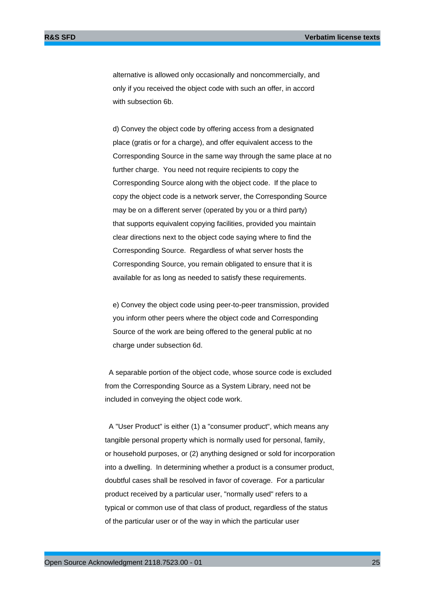alternative is allowed only occasionally and noncommercially, and only if you received the object code with such an offer, in accord with subsection 6b.

 d) Convey the object code by offering access from a designated place (gratis or for a charge), and offer equivalent access to the Corresponding Source in the same way through the same place at no further charge. You need not require recipients to copy the Corresponding Source along with the object code. If the place to copy the object code is a network server, the Corresponding Source may be on a different server (operated by you or a third party) that supports equivalent copying facilities, provided you maintain clear directions next to the object code saying where to find the Corresponding Source. Regardless of what server hosts the Corresponding Source, you remain obligated to ensure that it is available for as long as needed to satisfy these requirements.

 e) Convey the object code using peer-to-peer transmission, provided you inform other peers where the object code and Corresponding Source of the work are being offered to the general public at no charge under subsection 6d.

 A separable portion of the object code, whose source code is excluded from the Corresponding Source as a System Library, need not be included in conveying the object code work.

 A "User Product" is either (1) a "consumer product", which means any tangible personal property which is normally used for personal, family, or household purposes, or (2) anything designed or sold for incorporation into a dwelling. In determining whether a product is a consumer product, doubtful cases shall be resolved in favor of coverage. For a particular product received by a particular user, "normally used" refers to a typical or common use of that class of product, regardless of the status of the particular user or of the way in which the particular user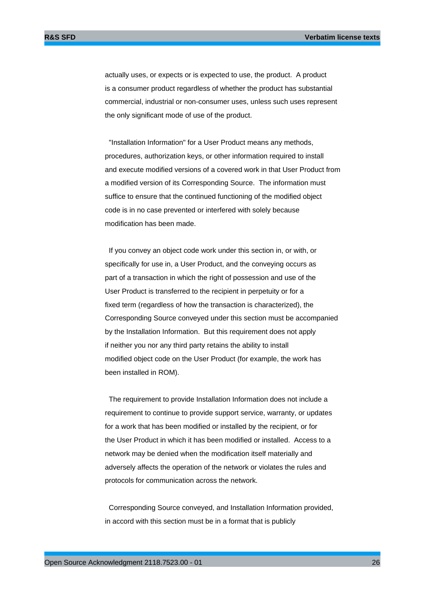actually uses, or expects or is expected to use, the product. A product is a consumer product regardless of whether the product has substantial commercial, industrial or non-consumer uses, unless such uses represent the only significant mode of use of the product.

 "Installation Information" for a User Product means any methods, procedures, authorization keys, or other information required to install and execute modified versions of a covered work in that User Product from a modified version of its Corresponding Source. The information must suffice to ensure that the continued functioning of the modified object code is in no case prevented or interfered with solely because modification has been made.

 If you convey an object code work under this section in, or with, or specifically for use in, a User Product, and the conveying occurs as part of a transaction in which the right of possession and use of the User Product is transferred to the recipient in perpetuity or for a fixed term (regardless of how the transaction is characterized), the Corresponding Source conveyed under this section must be accompanied by the Installation Information. But this requirement does not apply if neither you nor any third party retains the ability to install modified object code on the User Product (for example, the work has been installed in ROM).

 The requirement to provide Installation Information does not include a requirement to continue to provide support service, warranty, or updates for a work that has been modified or installed by the recipient, or for the User Product in which it has been modified or installed. Access to a network may be denied when the modification itself materially and adversely affects the operation of the network or violates the rules and protocols for communication across the network.

 Corresponding Source conveyed, and Installation Information provided, in accord with this section must be in a format that is publicly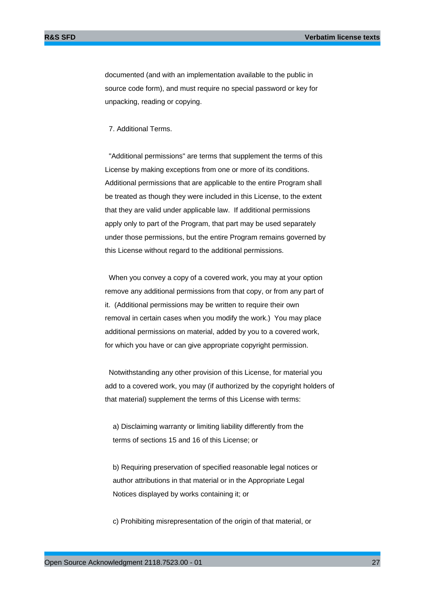documented (and with an implementation available to the public in source code form), and must require no special password or key for unpacking, reading or copying.

#### 7. Additional Terms.

 "Additional permissions" are terms that supplement the terms of this License by making exceptions from one or more of its conditions. Additional permissions that are applicable to the entire Program shall be treated as though they were included in this License, to the extent that they are valid under applicable law. If additional permissions apply only to part of the Program, that part may be used separately under those permissions, but the entire Program remains governed by this License without regard to the additional permissions.

 When you convey a copy of a covered work, you may at your option remove any additional permissions from that copy, or from any part of it. (Additional permissions may be written to require their own removal in certain cases when you modify the work.) You may place additional permissions on material, added by you to a covered work, for which you have or can give appropriate copyright permission.

 Notwithstanding any other provision of this License, for material you add to a covered work, you may (if authorized by the copyright holders of that material) supplement the terms of this License with terms:

 a) Disclaiming warranty or limiting liability differently from the terms of sections 15 and 16 of this License; or

 b) Requiring preservation of specified reasonable legal notices or author attributions in that material or in the Appropriate Legal Notices displayed by works containing it; or

c) Prohibiting misrepresentation of the origin of that material, or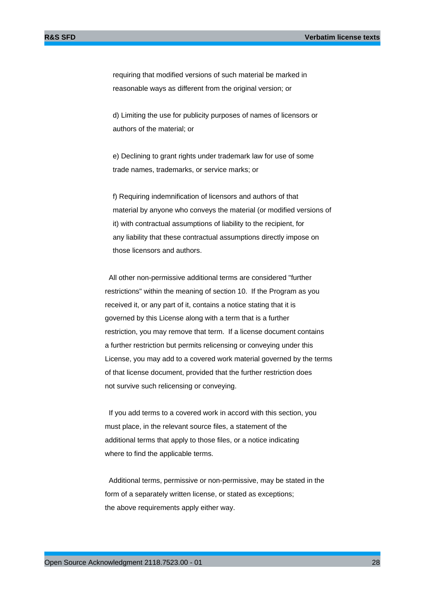requiring that modified versions of such material be marked in reasonable ways as different from the original version; or

 d) Limiting the use for publicity purposes of names of licensors or authors of the material; or

 e) Declining to grant rights under trademark law for use of some trade names, trademarks, or service marks; or

 f) Requiring indemnification of licensors and authors of that material by anyone who conveys the material (or modified versions of it) with contractual assumptions of liability to the recipient, for any liability that these contractual assumptions directly impose on those licensors and authors.

 All other non-permissive additional terms are considered "further restrictions" within the meaning of section 10. If the Program as you received it, or any part of it, contains a notice stating that it is governed by this License along with a term that is a further restriction, you may remove that term. If a license document contains a further restriction but permits relicensing or conveying under this License, you may add to a covered work material governed by the terms of that license document, provided that the further restriction does not survive such relicensing or conveying.

 If you add terms to a covered work in accord with this section, you must place, in the relevant source files, a statement of the additional terms that apply to those files, or a notice indicating where to find the applicable terms.

 Additional terms, permissive or non-permissive, may be stated in the form of a separately written license, or stated as exceptions; the above requirements apply either way.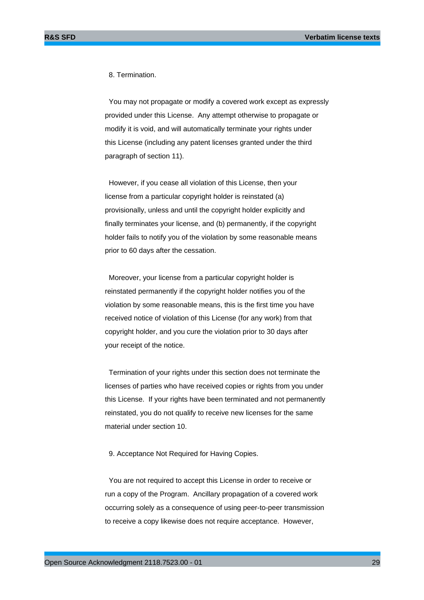8. Termination.

 You may not propagate or modify a covered work except as expressly provided under this License. Any attempt otherwise to propagate or modify it is void, and will automatically terminate your rights under this License (including any patent licenses granted under the third paragraph of section 11).

 However, if you cease all violation of this License, then your license from a particular copyright holder is reinstated (a) provisionally, unless and until the copyright holder explicitly and finally terminates your license, and (b) permanently, if the copyright holder fails to notify you of the violation by some reasonable means prior to 60 days after the cessation.

 Moreover, your license from a particular copyright holder is reinstated permanently if the copyright holder notifies you of the violation by some reasonable means, this is the first time you have received notice of violation of this License (for any work) from that copyright holder, and you cure the violation prior to 30 days after your receipt of the notice.

 Termination of your rights under this section does not terminate the licenses of parties who have received copies or rights from you under this License. If your rights have been terminated and not permanently reinstated, you do not qualify to receive new licenses for the same material under section 10.

9. Acceptance Not Required for Having Copies.

 You are not required to accept this License in order to receive or run a copy of the Program. Ancillary propagation of a covered work occurring solely as a consequence of using peer-to-peer transmission to receive a copy likewise does not require acceptance. However,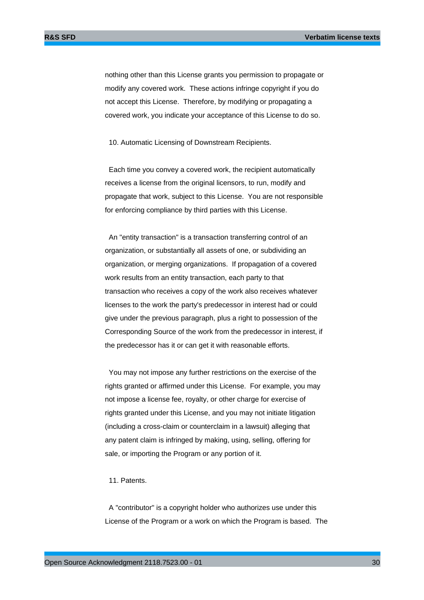nothing other than this License grants you permission to propagate or modify any covered work. These actions infringe copyright if you do not accept this License. Therefore, by modifying or propagating a covered work, you indicate your acceptance of this License to do so.

10. Automatic Licensing of Downstream Recipients.

 Each time you convey a covered work, the recipient automatically receives a license from the original licensors, to run, modify and propagate that work, subject to this License. You are not responsible for enforcing compliance by third parties with this License.

 An "entity transaction" is a transaction transferring control of an organization, or substantially all assets of one, or subdividing an organization, or merging organizations. If propagation of a covered work results from an entity transaction, each party to that transaction who receives a copy of the work also receives whatever licenses to the work the party's predecessor in interest had or could give under the previous paragraph, plus a right to possession of the Corresponding Source of the work from the predecessor in interest, if the predecessor has it or can get it with reasonable efforts.

 You may not impose any further restrictions on the exercise of the rights granted or affirmed under this License. For example, you may not impose a license fee, royalty, or other charge for exercise of rights granted under this License, and you may not initiate litigation (including a cross-claim or counterclaim in a lawsuit) alleging that any patent claim is infringed by making, using, selling, offering for sale, or importing the Program or any portion of it.

#### 11. Patents.

 A "contributor" is a copyright holder who authorizes use under this License of the Program or a work on which the Program is based. The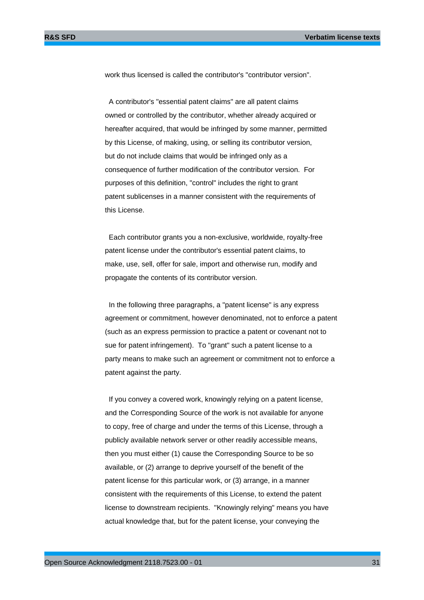work thus licensed is called the contributor's "contributor version".

 A contributor's "essential patent claims" are all patent claims owned or controlled by the contributor, whether already acquired or hereafter acquired, that would be infringed by some manner, permitted by this License, of making, using, or selling its contributor version, but do not include claims that would be infringed only as a consequence of further modification of the contributor version. For purposes of this definition, "control" includes the right to grant patent sublicenses in a manner consistent with the requirements of this License.

 Each contributor grants you a non-exclusive, worldwide, royalty-free patent license under the contributor's essential patent claims, to make, use, sell, offer for sale, import and otherwise run, modify and propagate the contents of its contributor version.

 In the following three paragraphs, a "patent license" is any express agreement or commitment, however denominated, not to enforce a patent (such as an express permission to practice a patent or covenant not to sue for patent infringement). To "grant" such a patent license to a party means to make such an agreement or commitment not to enforce a patent against the party.

 If you convey a covered work, knowingly relying on a patent license, and the Corresponding Source of the work is not available for anyone to copy, free of charge and under the terms of this License, through a publicly available network server or other readily accessible means, then you must either (1) cause the Corresponding Source to be so available, or (2) arrange to deprive yourself of the benefit of the patent license for this particular work, or (3) arrange, in a manner consistent with the requirements of this License, to extend the patent license to downstream recipients. "Knowingly relying" means you have actual knowledge that, but for the patent license, your conveying the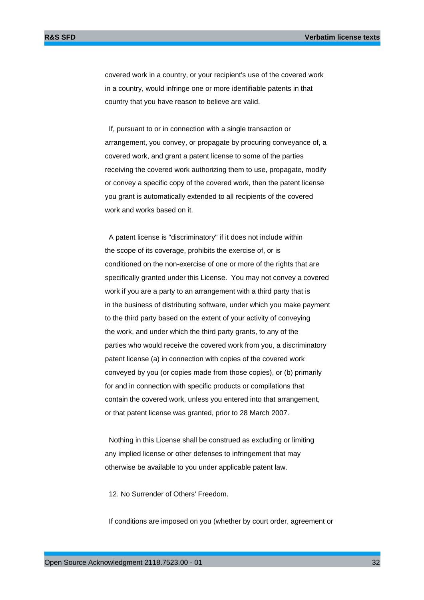covered work in a country, or your recipient's use of the covered work in a country, would infringe one or more identifiable patents in that country that you have reason to believe are valid.

 If, pursuant to or in connection with a single transaction or arrangement, you convey, or propagate by procuring conveyance of, a covered work, and grant a patent license to some of the parties receiving the covered work authorizing them to use, propagate, modify or convey a specific copy of the covered work, then the patent license you grant is automatically extended to all recipients of the covered work and works based on it.

 A patent license is "discriminatory" if it does not include within the scope of its coverage, prohibits the exercise of, or is conditioned on the non-exercise of one or more of the rights that are specifically granted under this License. You may not convey a covered work if you are a party to an arrangement with a third party that is in the business of distributing software, under which you make payment to the third party based on the extent of your activity of conveying the work, and under which the third party grants, to any of the parties who would receive the covered work from you, a discriminatory patent license (a) in connection with copies of the covered work conveyed by you (or copies made from those copies), or (b) primarily for and in connection with specific products or compilations that contain the covered work, unless you entered into that arrangement, or that patent license was granted, prior to 28 March 2007.

 Nothing in this License shall be construed as excluding or limiting any implied license or other defenses to infringement that may otherwise be available to you under applicable patent law.

12. No Surrender of Others' Freedom.

If conditions are imposed on you (whether by court order, agreement or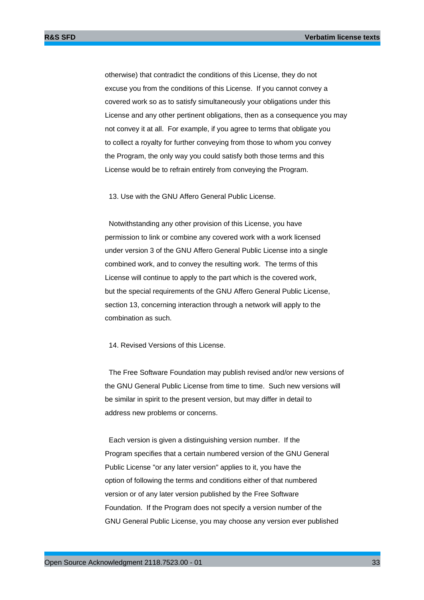otherwise) that contradict the conditions of this License, they do not excuse you from the conditions of this License. If you cannot convey a covered work so as to satisfy simultaneously your obligations under this License and any other pertinent obligations, then as a consequence you may not convey it at all. For example, if you agree to terms that obligate you to collect a royalty for further conveying from those to whom you convey the Program, the only way you could satisfy both those terms and this License would be to refrain entirely from conveying the Program.

13. Use with the GNU Affero General Public License.

 Notwithstanding any other provision of this License, you have permission to link or combine any covered work with a work licensed under version 3 of the GNU Affero General Public License into a single combined work, and to convey the resulting work. The terms of this License will continue to apply to the part which is the covered work, but the special requirements of the GNU Affero General Public License, section 13, concerning interaction through a network will apply to the combination as such.

14. Revised Versions of this License.

 The Free Software Foundation may publish revised and/or new versions of the GNU General Public License from time to time. Such new versions will be similar in spirit to the present version, but may differ in detail to address new problems or concerns.

 Each version is given a distinguishing version number. If the Program specifies that a certain numbered version of the GNU General Public License "or any later version" applies to it, you have the option of following the terms and conditions either of that numbered version or of any later version published by the Free Software Foundation. If the Program does not specify a version number of the GNU General Public License, you may choose any version ever published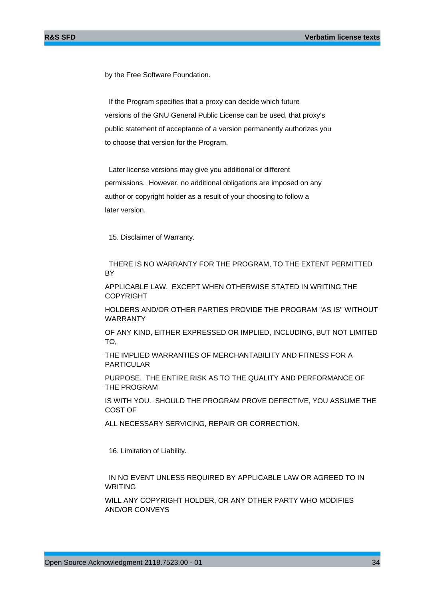by the Free Software Foundation.

 If the Program specifies that a proxy can decide which future versions of the GNU General Public License can be used, that proxy's public statement of acceptance of a version permanently authorizes you to choose that version for the Program.

 Later license versions may give you additional or different permissions. However, no additional obligations are imposed on any author or copyright holder as a result of your choosing to follow a later version.

15. Disclaimer of Warranty.

 THERE IS NO WARRANTY FOR THE PROGRAM, TO THE EXTENT PERMITTED **BY** 

APPLICABLE LAW. EXCEPT WHEN OTHERWISE STATED IN WRITING THE COPYRIGHT

HOLDERS AND/OR OTHER PARTIES PROVIDE THE PROGRAM "AS IS" WITHOUT WARRANTY

OF ANY KIND, EITHER EXPRESSED OR IMPLIED, INCLUDING, BUT NOT LIMITED TO,

THE IMPLIED WARRANTIES OF MERCHANTABILITY AND FITNESS FOR A PARTICULAR

PURPOSE. THE ENTIRE RISK AS TO THE QUALITY AND PERFORMANCE OF THE PROGRAM

IS WITH YOU. SHOULD THE PROGRAM PROVE DEFECTIVE, YOU ASSUME THE COST OF

ALL NECESSARY SERVICING, REPAIR OR CORRECTION.

16. Limitation of Liability.

 IN NO EVENT UNLESS REQUIRED BY APPLICABLE LAW OR AGREED TO IN WRITING

WILL ANY COPYRIGHT HOLDER, OR ANY OTHER PARTY WHO MODIFIES AND/OR CONVEYS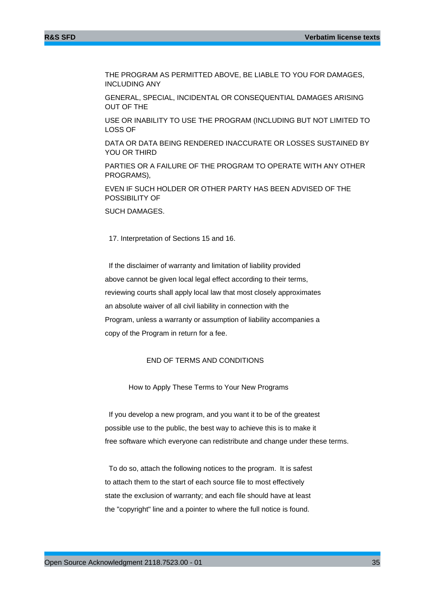THE PROGRAM AS PERMITTED ABOVE, BE LIABLE TO YOU FOR DAMAGES, INCLUDING ANY

GENERAL, SPECIAL, INCIDENTAL OR CONSEQUENTIAL DAMAGES ARISING OUT OF THE

USE OR INABILITY TO USE THE PROGRAM (INCLUDING BUT NOT LIMITED TO LOSS OF

DATA OR DATA BEING RENDERED INACCURATE OR LOSSES SUSTAINED BY YOU OR THIRD

PARTIES OR A FAILURE OF THE PROGRAM TO OPERATE WITH ANY OTHER PROGRAMS),

EVEN IF SUCH HOLDER OR OTHER PARTY HAS BEEN ADVISED OF THE POSSIBILITY OF

SUCH DAMAGES.

17. Interpretation of Sections 15 and 16.

 If the disclaimer of warranty and limitation of liability provided above cannot be given local legal effect according to their terms, reviewing courts shall apply local law that most closely approximates an absolute waiver of all civil liability in connection with the Program, unless a warranty or assumption of liability accompanies a copy of the Program in return for a fee.

#### END OF TERMS AND CONDITIONS

How to Apply These Terms to Your New Programs

 If you develop a new program, and you want it to be of the greatest possible use to the public, the best way to achieve this is to make it free software which everyone can redistribute and change under these terms.

 To do so, attach the following notices to the program. It is safest to attach them to the start of each source file to most effectively state the exclusion of warranty; and each file should have at least the "copyright" line and a pointer to where the full notice is found.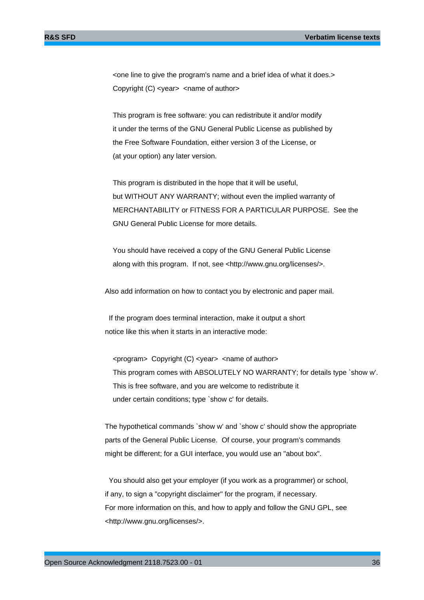<one line to give the program's name and a brief idea of what it does.> Copyright (C) <year> <name of author>

 This program is free software: you can redistribute it and/or modify it under the terms of the GNU General Public License as published by the Free Software Foundation, either version 3 of the License, or (at your option) any later version.

 This program is distributed in the hope that it will be useful, but WITHOUT ANY WARRANTY; without even the implied warranty of MERCHANTABILITY or FITNESS FOR A PARTICULAR PURPOSE. See the GNU General Public License for more details.

 You should have received a copy of the GNU General Public License along with this program. If not, see <http://www.gnu.org/licenses/>.

Also add information on how to contact you by electronic and paper mail.

 If the program does terminal interaction, make it output a short notice like this when it starts in an interactive mode:

 <program> Copyright (C) <year> <name of author> This program comes with ABSOLUTELY NO WARRANTY; for details type `show w'. This is free software, and you are welcome to redistribute it under certain conditions; type `show c' for details.

The hypothetical commands `show w' and `show c' should show the appropriate parts of the General Public License. Of course, your program's commands might be different; for a GUI interface, you would use an "about box".

 You should also get your employer (if you work as a programmer) or school, if any, to sign a "copyright disclaimer" for the program, if necessary. For more information on this, and how to apply and follow the GNU GPL, see <http://www.gnu.org/licenses/>.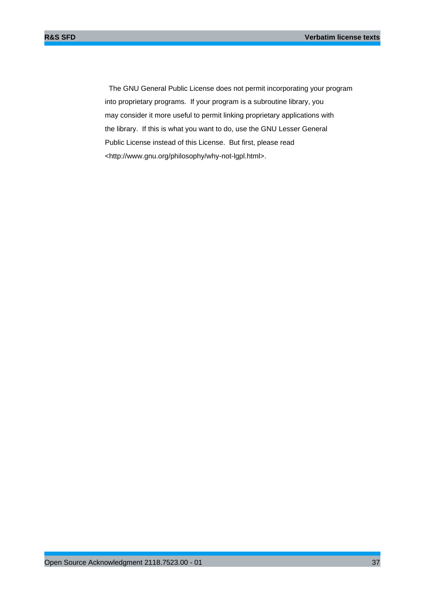The GNU General Public License does not permit incorporating your program into proprietary programs. If your program is a subroutine library, you may consider it more useful to permit linking proprietary applications with the library. If this is what you want to do, use the GNU Lesser General Public License instead of this License. But first, please read <http://www.gnu.org/philosophy/why-not-lgpl.html>.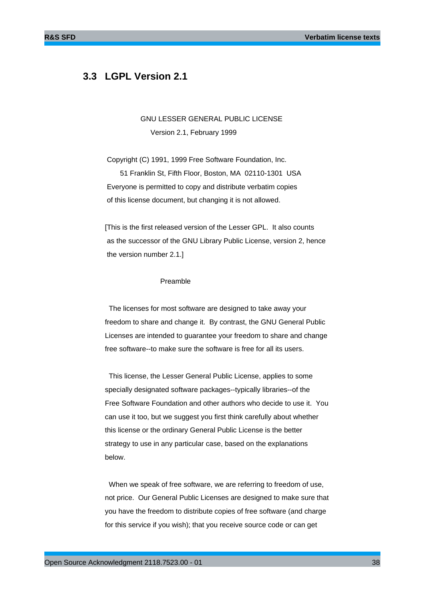# **3.3 LGPL Version 2.1**

 GNU LESSER GENERAL PUBLIC LICENSE Version 2.1, February 1999

 Copyright (C) 1991, 1999 Free Software Foundation, Inc. 51 Franklin St, Fifth Floor, Boston, MA 02110-1301 USA Everyone is permitted to copy and distribute verbatim copies of this license document, but changing it is not allowed.

[This is the first released version of the Lesser GPL. It also counts as the successor of the GNU Library Public License, version 2, hence the version number 2.1.]

#### Preamble

 The licenses for most software are designed to take away your freedom to share and change it. By contrast, the GNU General Public Licenses are intended to guarantee your freedom to share and change free software--to make sure the software is free for all its users.

 This license, the Lesser General Public License, applies to some specially designated software packages--typically libraries--of the Free Software Foundation and other authors who decide to use it. You can use it too, but we suggest you first think carefully about whether this license or the ordinary General Public License is the better strategy to use in any particular case, based on the explanations below.

 When we speak of free software, we are referring to freedom of use, not price. Our General Public Licenses are designed to make sure that you have the freedom to distribute copies of free software (and charge for this service if you wish); that you receive source code or can get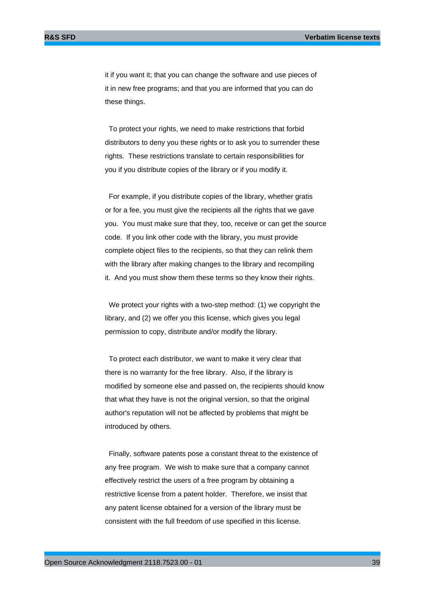it if you want it; that you can change the software and use pieces of it in new free programs; and that you are informed that you can do these things.

 To protect your rights, we need to make restrictions that forbid distributors to deny you these rights or to ask you to surrender these rights. These restrictions translate to certain responsibilities for you if you distribute copies of the library or if you modify it.

 For example, if you distribute copies of the library, whether gratis or for a fee, you must give the recipients all the rights that we gave you. You must make sure that they, too, receive or can get the source code. If you link other code with the library, you must provide complete object files to the recipients, so that they can relink them with the library after making changes to the library and recompiling it. And you must show them these terms so they know their rights.

 We protect your rights with a two-step method: (1) we copyright the library, and (2) we offer you this license, which gives you legal permission to copy, distribute and/or modify the library.

 To protect each distributor, we want to make it very clear that there is no warranty for the free library. Also, if the library is modified by someone else and passed on, the recipients should know that what they have is not the original version, so that the original author's reputation will not be affected by problems that might be introduced by others.

 Finally, software patents pose a constant threat to the existence of any free program. We wish to make sure that a company cannot effectively restrict the users of a free program by obtaining a restrictive license from a patent holder. Therefore, we insist that any patent license obtained for a version of the library must be consistent with the full freedom of use specified in this license.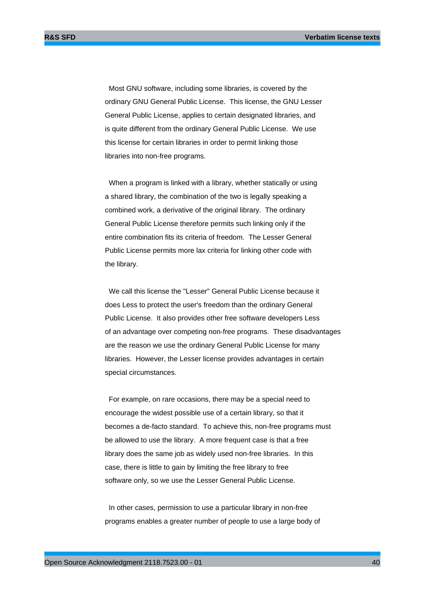Most GNU software, including some libraries, is covered by the ordinary GNU General Public License. This license, the GNU Lesser General Public License, applies to certain designated libraries, and is quite different from the ordinary General Public License. We use this license for certain libraries in order to permit linking those libraries into non-free programs.

 When a program is linked with a library, whether statically or using a shared library, the combination of the two is legally speaking a combined work, a derivative of the original library. The ordinary General Public License therefore permits such linking only if the entire combination fits its criteria of freedom. The Lesser General Public License permits more lax criteria for linking other code with the library.

 We call this license the "Lesser" General Public License because it does Less to protect the user's freedom than the ordinary General Public License. It also provides other free software developers Less of an advantage over competing non-free programs. These disadvantages are the reason we use the ordinary General Public License for many libraries. However, the Lesser license provides advantages in certain special circumstances.

 For example, on rare occasions, there may be a special need to encourage the widest possible use of a certain library, so that it becomes a de-facto standard. To achieve this, non-free programs must be allowed to use the library. A more frequent case is that a free library does the same job as widely used non-free libraries. In this case, there is little to gain by limiting the free library to free software only, so we use the Lesser General Public License.

 In other cases, permission to use a particular library in non-free programs enables a greater number of people to use a large body of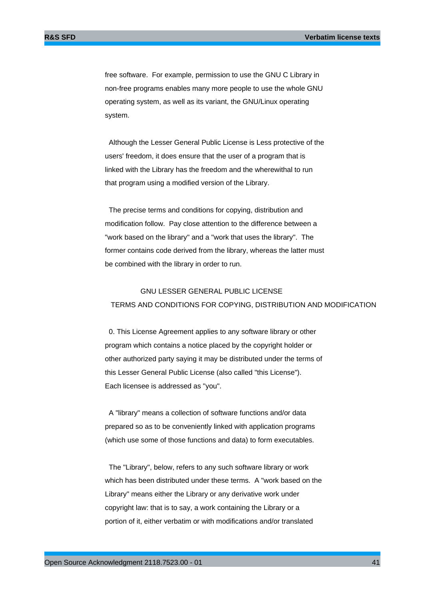free software. For example, permission to use the GNU C Library in non-free programs enables many more people to use the whole GNU operating system, as well as its variant, the GNU/Linux operating system.

 Although the Lesser General Public License is Less protective of the users' freedom, it does ensure that the user of a program that is linked with the Library has the freedom and the wherewithal to run that program using a modified version of the Library.

 The precise terms and conditions for copying, distribution and modification follow. Pay close attention to the difference between a "work based on the library" and a "work that uses the library". The former contains code derived from the library, whereas the latter must be combined with the library in order to run.

## GNU LESSER GENERAL PUBLIC LICENSE TERMS AND CONDITIONS FOR COPYING, DISTRIBUTION AND MODIFICATION

 0. This License Agreement applies to any software library or other program which contains a notice placed by the copyright holder or other authorized party saying it may be distributed under the terms of this Lesser General Public License (also called "this License"). Each licensee is addressed as "you".

 A "library" means a collection of software functions and/or data prepared so as to be conveniently linked with application programs (which use some of those functions and data) to form executables.

 The "Library", below, refers to any such software library or work which has been distributed under these terms. A "work based on the Library" means either the Library or any derivative work under copyright law: that is to say, a work containing the Library or a portion of it, either verbatim or with modifications and/or translated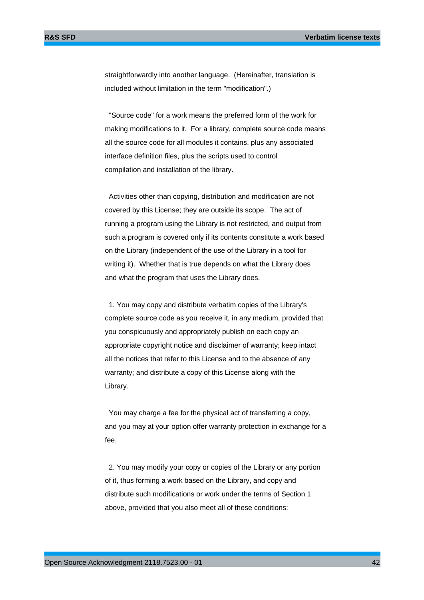straightforwardly into another language. (Hereinafter, translation is included without limitation in the term "modification".)

 "Source code" for a work means the preferred form of the work for making modifications to it. For a library, complete source code means all the source code for all modules it contains, plus any associated interface definition files, plus the scripts used to control compilation and installation of the library.

 Activities other than copying, distribution and modification are not covered by this License; they are outside its scope. The act of running a program using the Library is not restricted, and output from such a program is covered only if its contents constitute a work based on the Library (independent of the use of the Library in a tool for writing it). Whether that is true depends on what the Library does and what the program that uses the Library does.

 1. You may copy and distribute verbatim copies of the Library's complete source code as you receive it, in any medium, provided that you conspicuously and appropriately publish on each copy an appropriate copyright notice and disclaimer of warranty; keep intact all the notices that refer to this License and to the absence of any warranty; and distribute a copy of this License along with the Library.

 You may charge a fee for the physical act of transferring a copy, and you may at your option offer warranty protection in exchange for a fee.

 2. You may modify your copy or copies of the Library or any portion of it, thus forming a work based on the Library, and copy and distribute such modifications or work under the terms of Section 1 above, provided that you also meet all of these conditions: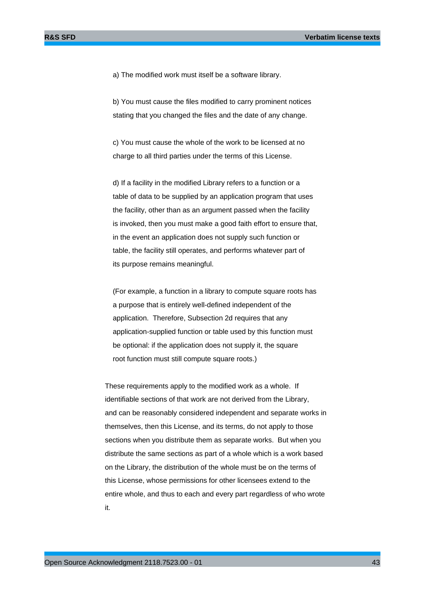a) The modified work must itself be a software library.

 b) You must cause the files modified to carry prominent notices stating that you changed the files and the date of any change.

 c) You must cause the whole of the work to be licensed at no charge to all third parties under the terms of this License.

 d) If a facility in the modified Library refers to a function or a table of data to be supplied by an application program that uses the facility, other than as an argument passed when the facility is invoked, then you must make a good faith effort to ensure that, in the event an application does not supply such function or table, the facility still operates, and performs whatever part of its purpose remains meaningful.

 (For example, a function in a library to compute square roots has a purpose that is entirely well-defined independent of the application. Therefore, Subsection 2d requires that any application-supplied function or table used by this function must be optional: if the application does not supply it, the square root function must still compute square roots.)

These requirements apply to the modified work as a whole. If identifiable sections of that work are not derived from the Library, and can be reasonably considered independent and separate works in themselves, then this License, and its terms, do not apply to those sections when you distribute them as separate works. But when you distribute the same sections as part of a whole which is a work based on the Library, the distribution of the whole must be on the terms of this License, whose permissions for other licensees extend to the entire whole, and thus to each and every part regardless of who wrote it.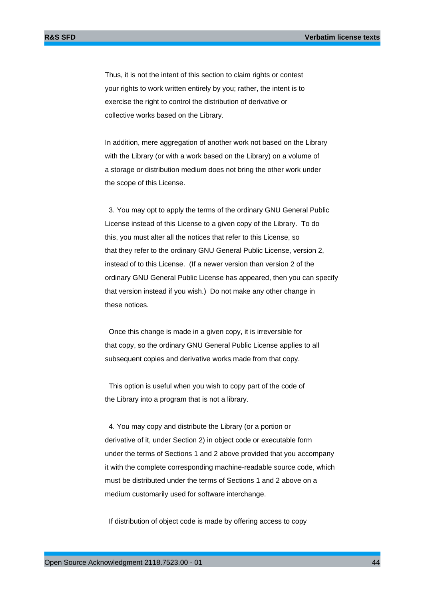Thus, it is not the intent of this section to claim rights or contest your rights to work written entirely by you; rather, the intent is to exercise the right to control the distribution of derivative or collective works based on the Library.

In addition, mere aggregation of another work not based on the Library with the Library (or with a work based on the Library) on a volume of a storage or distribution medium does not bring the other work under the scope of this License.

 3. You may opt to apply the terms of the ordinary GNU General Public License instead of this License to a given copy of the Library. To do this, you must alter all the notices that refer to this License, so that they refer to the ordinary GNU General Public License, version 2, instead of to this License. (If a newer version than version 2 of the ordinary GNU General Public License has appeared, then you can specify that version instead if you wish.) Do not make any other change in these notices.

 Once this change is made in a given copy, it is irreversible for that copy, so the ordinary GNU General Public License applies to all subsequent copies and derivative works made from that copy.

 This option is useful when you wish to copy part of the code of the Library into a program that is not a library.

 4. You may copy and distribute the Library (or a portion or derivative of it, under Section 2) in object code or executable form under the terms of Sections 1 and 2 above provided that you accompany it with the complete corresponding machine-readable source code, which must be distributed under the terms of Sections 1 and 2 above on a medium customarily used for software interchange.

If distribution of object code is made by offering access to copy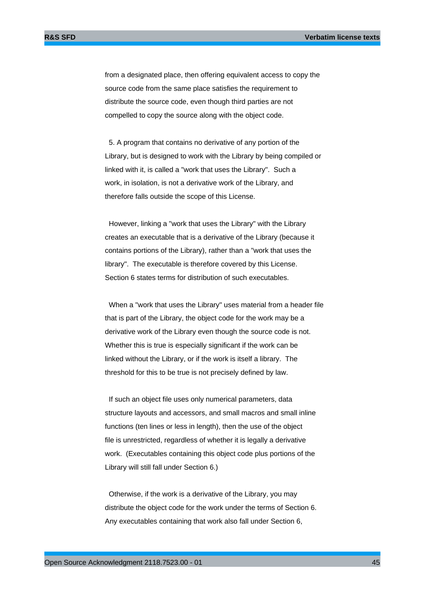from a designated place, then offering equivalent access to copy the source code from the same place satisfies the requirement to distribute the source code, even though third parties are not compelled to copy the source along with the object code.

 5. A program that contains no derivative of any portion of the Library, but is designed to work with the Library by being compiled or linked with it, is called a "work that uses the Library". Such a work, in isolation, is not a derivative work of the Library, and therefore falls outside the scope of this License.

 However, linking a "work that uses the Library" with the Library creates an executable that is a derivative of the Library (because it contains portions of the Library), rather than a "work that uses the library". The executable is therefore covered by this License. Section 6 states terms for distribution of such executables.

 When a "work that uses the Library" uses material from a header file that is part of the Library, the object code for the work may be a derivative work of the Library even though the source code is not. Whether this is true is especially significant if the work can be linked without the Library, or if the work is itself a library. The threshold for this to be true is not precisely defined by law.

 If such an object file uses only numerical parameters, data structure layouts and accessors, and small macros and small inline functions (ten lines or less in length), then the use of the object file is unrestricted, regardless of whether it is legally a derivative work. (Executables containing this object code plus portions of the Library will still fall under Section 6.)

 Otherwise, if the work is a derivative of the Library, you may distribute the object code for the work under the terms of Section 6. Any executables containing that work also fall under Section 6,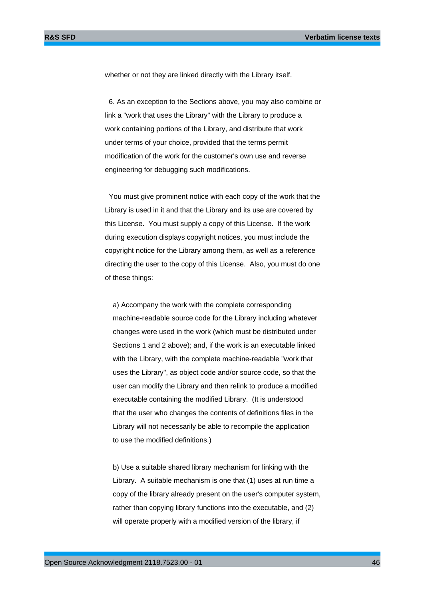whether or not they are linked directly with the Library itself.

 6. As an exception to the Sections above, you may also combine or link a "work that uses the Library" with the Library to produce a work containing portions of the Library, and distribute that work under terms of your choice, provided that the terms permit modification of the work for the customer's own use and reverse engineering for debugging such modifications.

 You must give prominent notice with each copy of the work that the Library is used in it and that the Library and its use are covered by this License. You must supply a copy of this License. If the work during execution displays copyright notices, you must include the copyright notice for the Library among them, as well as a reference directing the user to the copy of this License. Also, you must do one of these things:

 a) Accompany the work with the complete corresponding machine-readable source code for the Library including whatever changes were used in the work (which must be distributed under Sections 1 and 2 above); and, if the work is an executable linked with the Library, with the complete machine-readable "work that uses the Library", as object code and/or source code, so that the user can modify the Library and then relink to produce a modified executable containing the modified Library. (It is understood that the user who changes the contents of definitions files in the Library will not necessarily be able to recompile the application to use the modified definitions.)

 b) Use a suitable shared library mechanism for linking with the Library. A suitable mechanism is one that (1) uses at run time a copy of the library already present on the user's computer system, rather than copying library functions into the executable, and (2) will operate properly with a modified version of the library, if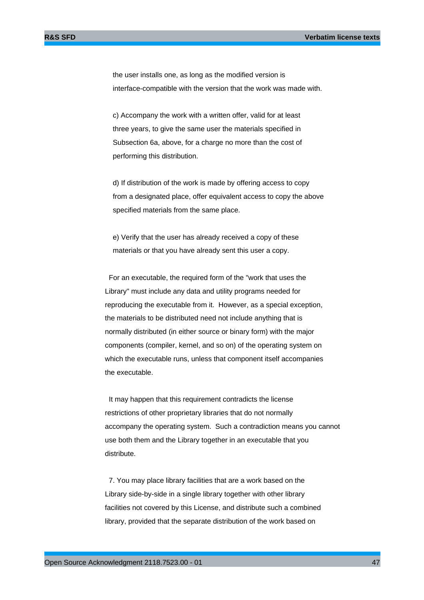the user installs one, as long as the modified version is interface-compatible with the version that the work was made with.

 c) Accompany the work with a written offer, valid for at least three years, to give the same user the materials specified in Subsection 6a, above, for a charge no more than the cost of performing this distribution.

 d) If distribution of the work is made by offering access to copy from a designated place, offer equivalent access to copy the above specified materials from the same place.

 e) Verify that the user has already received a copy of these materials or that you have already sent this user a copy.

 For an executable, the required form of the "work that uses the Library" must include any data and utility programs needed for reproducing the executable from it. However, as a special exception, the materials to be distributed need not include anything that is normally distributed (in either source or binary form) with the major components (compiler, kernel, and so on) of the operating system on which the executable runs, unless that component itself accompanies the executable.

 It may happen that this requirement contradicts the license restrictions of other proprietary libraries that do not normally accompany the operating system. Such a contradiction means you cannot use both them and the Library together in an executable that you distribute.

 7. You may place library facilities that are a work based on the Library side-by-side in a single library together with other library facilities not covered by this License, and distribute such a combined library, provided that the separate distribution of the work based on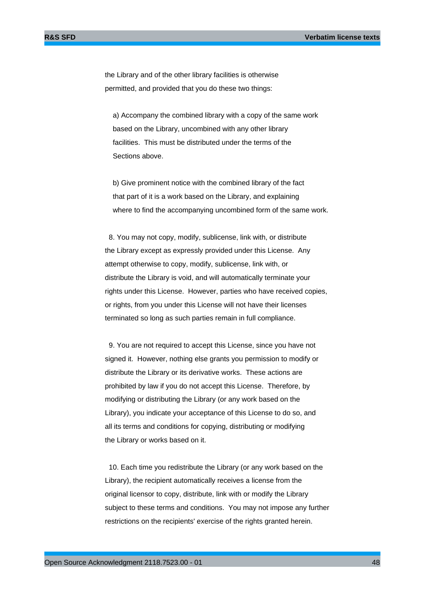the Library and of the other library facilities is otherwise permitted, and provided that you do these two things:

 a) Accompany the combined library with a copy of the same work based on the Library, uncombined with any other library facilities. This must be distributed under the terms of the Sections above.

 b) Give prominent notice with the combined library of the fact that part of it is a work based on the Library, and explaining where to find the accompanying uncombined form of the same work.

 8. You may not copy, modify, sublicense, link with, or distribute the Library except as expressly provided under this License. Any attempt otherwise to copy, modify, sublicense, link with, or distribute the Library is void, and will automatically terminate your rights under this License. However, parties who have received copies, or rights, from you under this License will not have their licenses terminated so long as such parties remain in full compliance.

 9. You are not required to accept this License, since you have not signed it. However, nothing else grants you permission to modify or distribute the Library or its derivative works. These actions are prohibited by law if you do not accept this License. Therefore, by modifying or distributing the Library (or any work based on the Library), you indicate your acceptance of this License to do so, and all its terms and conditions for copying, distributing or modifying the Library or works based on it.

 10. Each time you redistribute the Library (or any work based on the Library), the recipient automatically receives a license from the original licensor to copy, distribute, link with or modify the Library subject to these terms and conditions. You may not impose any further restrictions on the recipients' exercise of the rights granted herein.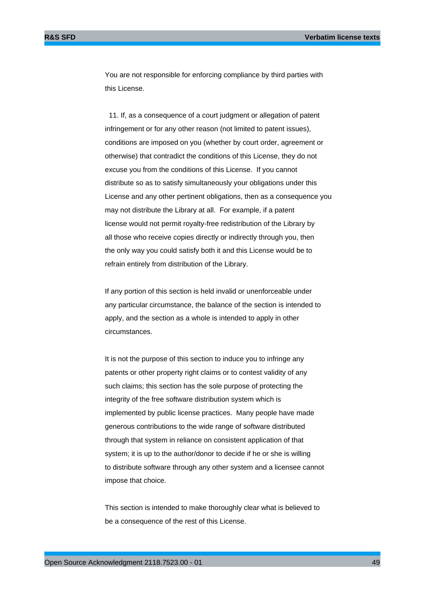You are not responsible for enforcing compliance by third parties with this License.

 11. If, as a consequence of a court judgment or allegation of patent infringement or for any other reason (not limited to patent issues), conditions are imposed on you (whether by court order, agreement or otherwise) that contradict the conditions of this License, they do not excuse you from the conditions of this License. If you cannot distribute so as to satisfy simultaneously your obligations under this License and any other pertinent obligations, then as a consequence you may not distribute the Library at all. For example, if a patent license would not permit royalty-free redistribution of the Library by all those who receive copies directly or indirectly through you, then the only way you could satisfy both it and this License would be to refrain entirely from distribution of the Library.

If any portion of this section is held invalid or unenforceable under any particular circumstance, the balance of the section is intended to apply, and the section as a whole is intended to apply in other circumstances.

It is not the purpose of this section to induce you to infringe any patents or other property right claims or to contest validity of any such claims; this section has the sole purpose of protecting the integrity of the free software distribution system which is implemented by public license practices. Many people have made generous contributions to the wide range of software distributed through that system in reliance on consistent application of that system; it is up to the author/donor to decide if he or she is willing to distribute software through any other system and a licensee cannot impose that choice.

This section is intended to make thoroughly clear what is believed to be a consequence of the rest of this License.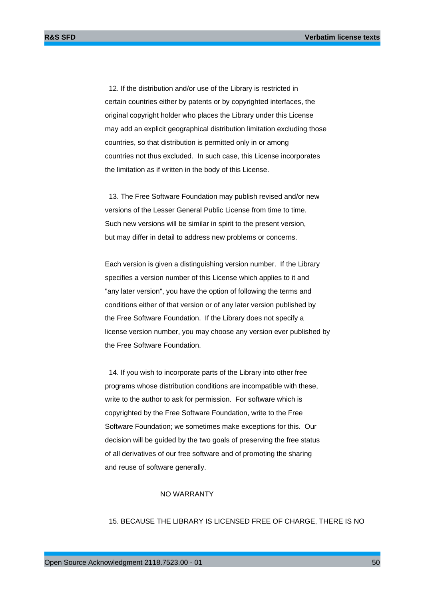12. If the distribution and/or use of the Library is restricted in certain countries either by patents or by copyrighted interfaces, the original copyright holder who places the Library under this License may add an explicit geographical distribution limitation excluding those countries, so that distribution is permitted only in or among countries not thus excluded. In such case, this License incorporates the limitation as if written in the body of this License.

 13. The Free Software Foundation may publish revised and/or new versions of the Lesser General Public License from time to time. Such new versions will be similar in spirit to the present version, but may differ in detail to address new problems or concerns.

Each version is given a distinguishing version number. If the Library specifies a version number of this License which applies to it and "any later version", you have the option of following the terms and conditions either of that version or of any later version published by the Free Software Foundation. If the Library does not specify a license version number, you may choose any version ever published by the Free Software Foundation.

 14. If you wish to incorporate parts of the Library into other free programs whose distribution conditions are incompatible with these, write to the author to ask for permission. For software which is copyrighted by the Free Software Foundation, write to the Free Software Foundation; we sometimes make exceptions for this. Our decision will be guided by the two goals of preserving the free status of all derivatives of our free software and of promoting the sharing and reuse of software generally.

#### NO WARRANTY

15. BECAUSE THE LIBRARY IS LICENSED FREE OF CHARGE, THERE IS NO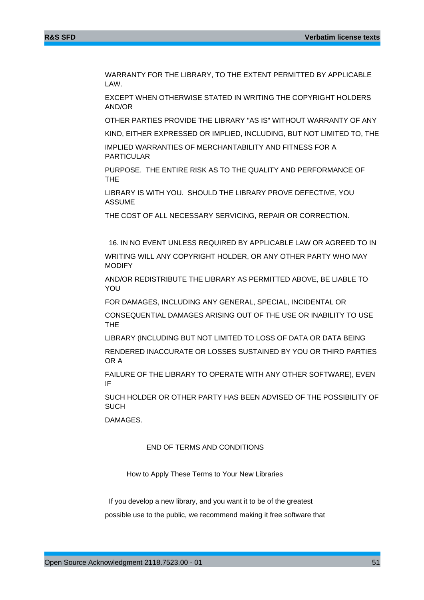WARRANTY FOR THE LIBRARY, TO THE EXTENT PERMITTED BY APPLICABLE LAW.

EXCEPT WHEN OTHERWISE STATED IN WRITING THE COPYRIGHT HOLDERS AND/OR

OTHER PARTIES PROVIDE THE LIBRARY "AS IS" WITHOUT WARRANTY OF ANY

KIND, EITHER EXPRESSED OR IMPLIED, INCLUDING, BUT NOT LIMITED TO, THE

IMPLIED WARRANTIES OF MERCHANTABILITY AND FITNESS FOR A PARTICULAR

PURPOSE. THE ENTIRE RISK AS TO THE QUALITY AND PERFORMANCE OF THE

LIBRARY IS WITH YOU. SHOULD THE LIBRARY PROVE DEFECTIVE, YOU ASSUME

THE COST OF ALL NECESSARY SERVICING, REPAIR OR CORRECTION.

 16. IN NO EVENT UNLESS REQUIRED BY APPLICABLE LAW OR AGREED TO IN WRITING WILL ANY COPYRIGHT HOLDER, OR ANY OTHER PARTY WHO MAY MODIFY

AND/OR REDISTRIBUTE THE LIBRARY AS PERMITTED ABOVE, BE LIABLE TO YOU

FOR DAMAGES, INCLUDING ANY GENERAL, SPECIAL, INCIDENTAL OR

CONSEQUENTIAL DAMAGES ARISING OUT OF THE USE OR INABILITY TO USE THE

LIBRARY (INCLUDING BUT NOT LIMITED TO LOSS OF DATA OR DATA BEING

RENDERED INACCURATE OR LOSSES SUSTAINED BY YOU OR THIRD PARTIES OR A

FAILURE OF THE LIBRARY TO OPERATE WITH ANY OTHER SOFTWARE), EVEN IF

SUCH HOLDER OR OTHER PARTY HAS BEEN ADVISED OF THE POSSIBILITY OF **SUCH** 

DAMAGES.

### END OF TERMS AND CONDITIONS

How to Apply These Terms to Your New Libraries

 If you develop a new library, and you want it to be of the greatest possible use to the public, we recommend making it free software that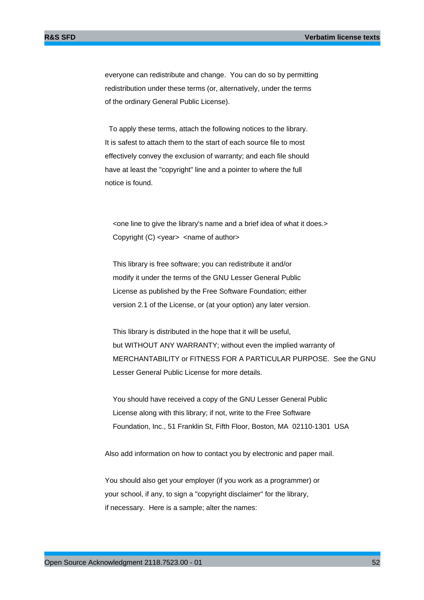everyone can redistribute and change. You can do so by permitting redistribution under these terms (or, alternatively, under the terms of the ordinary General Public License).

 To apply these terms, attach the following notices to the library. It is safest to attach them to the start of each source file to most effectively convey the exclusion of warranty; and each file should have at least the "copyright" line and a pointer to where the full notice is found.

 <one line to give the library's name and a brief idea of what it does.> Copyright (C) <year> <name of author>

 This library is free software; you can redistribute it and/or modify it under the terms of the GNU Lesser General Public License as published by the Free Software Foundation; either version 2.1 of the License, or (at your option) any later version.

 This library is distributed in the hope that it will be useful, but WITHOUT ANY WARRANTY; without even the implied warranty of MERCHANTABILITY or FITNESS FOR A PARTICULAR PURPOSE. See the GNU Lesser General Public License for more details.

 You should have received a copy of the GNU Lesser General Public License along with this library; if not, write to the Free Software Foundation, Inc., 51 Franklin St, Fifth Floor, Boston, MA 02110-1301 USA

Also add information on how to contact you by electronic and paper mail.

You should also get your employer (if you work as a programmer) or your school, if any, to sign a "copyright disclaimer" for the library, if necessary. Here is a sample; alter the names: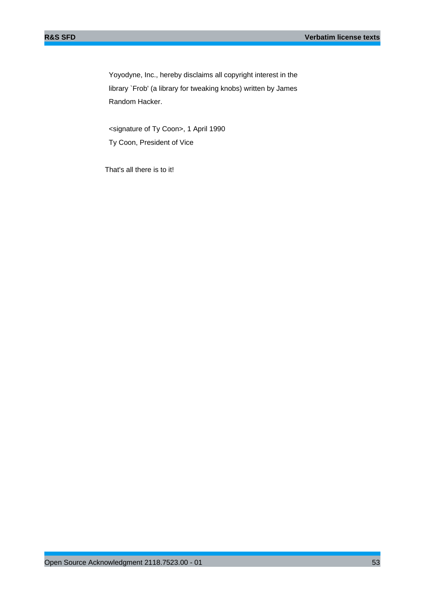Yoyodyne, Inc., hereby disclaims all copyright interest in the library `Frob' (a library for tweaking knobs) written by James Random Hacker.

 <signature of Ty Coon>, 1 April 1990 Ty Coon, President of Vice

That's all there is to it!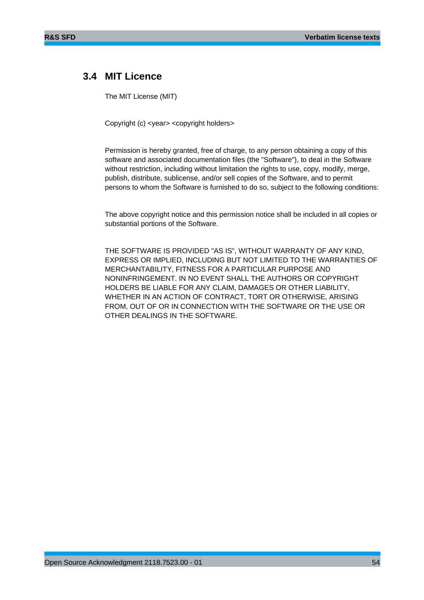# **3.4 MIT Licence**

The MIT License (MIT)

Copyright (c) <year> <copyright holders>

Permission is hereby granted, free of charge, to any person obtaining a copy of this software and associated documentation files (the "Software"), to deal in the Software without restriction, including without limitation the rights to use, copy, modify, merge, publish, distribute, sublicense, and/or sell copies of the Software, and to permit persons to whom the Software is furnished to do so, subject to the following conditions:

The above copyright notice and this permission notice shall be included in all copies or substantial portions of the Software.

THE SOFTWARE IS PROVIDED "AS IS", WITHOUT WARRANTY OF ANY KIND, EXPRESS OR IMPLIED, INCLUDING BUT NOT LIMITED TO THE WARRANTIES OF MERCHANTABILITY, FITNESS FOR A PARTICULAR PURPOSE AND NONINFRINGEMENT. IN NO EVENT SHALL THE AUTHORS OR COPYRIGHT HOLDERS BE LIABLE FOR ANY CLAIM, DAMAGES OR OTHER LIABILITY, WHETHER IN AN ACTION OF CONTRACT, TORT OR OTHERWISE, ARISING FROM, OUT OF OR IN CONNECTION WITH THE SOFTWARE OR THE USE OR OTHER DEALINGS IN THE SOFTWARE.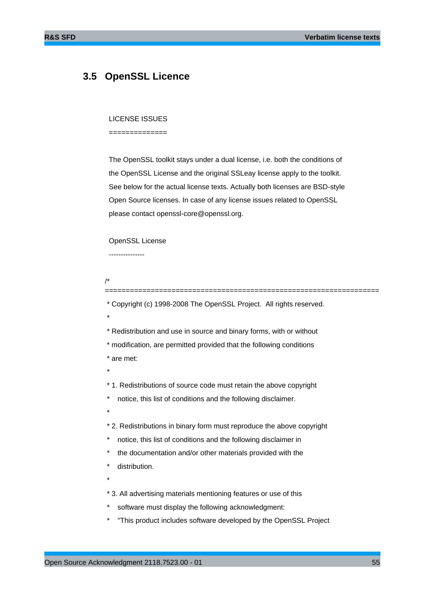## **3.5 OpenSSL Licence**

#### LICENSE ISSUES

==============

 The OpenSSL toolkit stays under a dual license, i.e. both the conditions of the OpenSSL License and the original SSLeay license apply to the toolkit. See below for the actual license texts. Actually both licenses are BSD-style Open Source licenses. In case of any license issues related to OpenSSL please contact openssl-core@openssl.org.

## OpenSSL License

---------------

/\*

\* Copyright (c) 1998-2008 The OpenSSL Project. All rights reserved.

==================================================================

- \* \* Redistribution and use in source and binary forms, with or without \* modification, are permitted provided that the following conditions
	- \* are met:
	- \*

\* 1. Redistributions of source code must retain the above copyright

\* notice, this list of conditions and the following disclaimer.

\*

\* 2. Redistributions in binary form must reproduce the above copyright

- notice, this list of conditions and the following disclaimer in
- the documentation and/or other materials provided with the
- distribution.
- \*

\* 3. All advertising materials mentioning features or use of this

- software must display the following acknowledgment:
- "This product includes software developed by the OpenSSL Project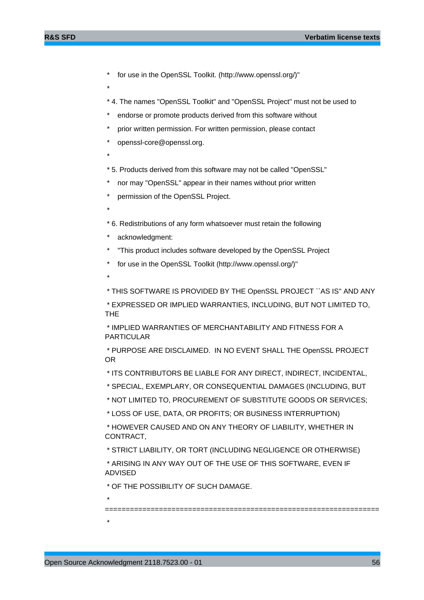- for use in the OpenSSL Toolkit. (http://www.openssl.org/)"
- \*
- \* 4. The names "OpenSSL Toolkit" and "OpenSSL Project" must not be used to
- endorse or promote products derived from this software without
- prior written permission. For written permission, please contact
- openssl-core@openssl.org.
- \*

\*

- \* 5. Products derived from this software may not be called "OpenSSL"
- nor may "OpenSSL" appear in their names without prior written
- permission of the OpenSSL Project.
- \* 6. Redistributions of any form whatsoever must retain the following
- acknowledgment:
- "This product includes software developed by the OpenSSL Project
- for use in the OpenSSL Toolkit (http://www.openssl.org/)"
- \*

\* THIS SOFTWARE IS PROVIDED BY THE OpenSSL PROJECT ``AS IS'' AND ANY

 \* EXPRESSED OR IMPLIED WARRANTIES, INCLUDING, BUT NOT LIMITED TO, THE

 \* IMPLIED WARRANTIES OF MERCHANTABILITY AND FITNESS FOR A PARTICULAR

 \* PURPOSE ARE DISCLAIMED. IN NO EVENT SHALL THE OpenSSL PROJECT OR

- \* ITS CONTRIBUTORS BE LIABLE FOR ANY DIRECT, INDIRECT, INCIDENTAL,
- \* SPECIAL, EXEMPLARY, OR CONSEQUENTIAL DAMAGES (INCLUDING, BUT

\* NOT LIMITED TO, PROCUREMENT OF SUBSTITUTE GOODS OR SERVICES;

\* LOSS OF USE, DATA, OR PROFITS; OR BUSINESS INTERRUPTION)

 \* HOWEVER CAUSED AND ON ANY THEORY OF LIABILITY, WHETHER IN CONTRACT,

\* STRICT LIABILITY, OR TORT (INCLUDING NEGLIGENCE OR OTHERWISE)

 \* ARISING IN ANY WAY OUT OF THE USE OF THIS SOFTWARE, EVEN IF ADVISED

\* OF THE POSSIBILITY OF SUCH DAMAGE.

\*

\*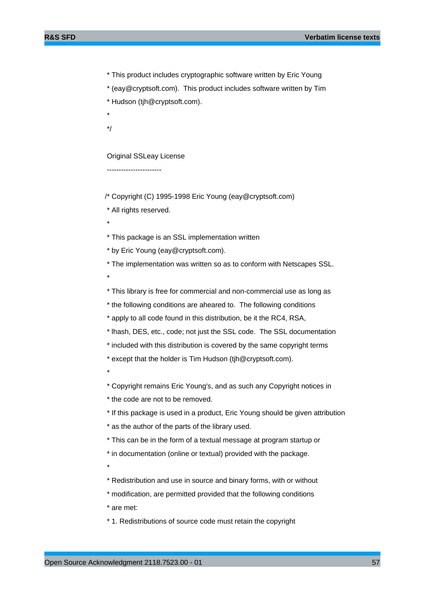\* This product includes cryptographic software written by Eric Young

\* (eay@cryptsoft.com). This product includes software written by Tim

- \* Hudson (tjh@cryptsoft.com).
- \*

\*/

\*

\*

Original SSLeay License

-----------------------

/\* Copyright (C) 1995-1998 Eric Young (eay@cryptsoft.com)

\* All rights reserved.

\* This package is an SSL implementation written

\* by Eric Young (eay@cryptsoft.com).

\* The implementation was written so as to conform with Netscapes SSL.

\* This library is free for commercial and non-commercial use as long as

\* the following conditions are aheared to. The following conditions

\* apply to all code found in this distribution, be it the RC4, RSA,

\* lhash, DES, etc., code; not just the SSL code. The SSL documentation

\* included with this distribution is covered by the same copyright terms

\* except that the holder is Tim Hudson (tjh@cryptsoft.com).

\*

\* Copyright remains Eric Young's, and as such any Copyright notices in

\* the code are not to be removed.

\* If this package is used in a product, Eric Young should be given attribution

\* as the author of the parts of the library used.

\* This can be in the form of a textual message at program startup or

\* in documentation (online or textual) provided with the package.

\*

\* Redistribution and use in source and binary forms, with or without

\* modification, are permitted provided that the following conditions

\* are met:

\* 1. Redistributions of source code must retain the copyright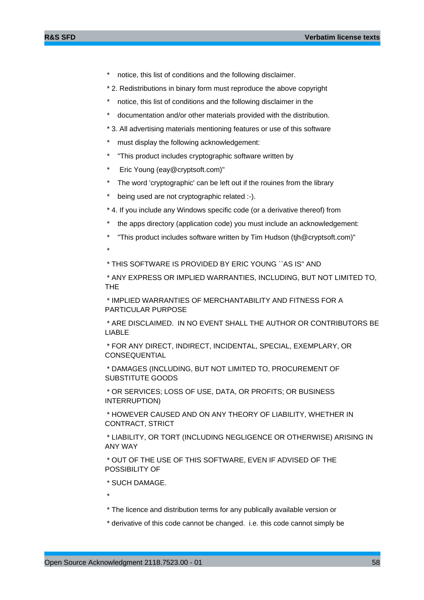- notice, this list of conditions and the following disclaimer.
- \* 2. Redistributions in binary form must reproduce the above copyright
- notice, this list of conditions and the following disclaimer in the
- documentation and/or other materials provided with the distribution.
- \* 3. All advertising materials mentioning features or use of this software
- must display the following acknowledgement:
- "This product includes cryptographic software written by
- \* Eric Young (eay@cryptsoft.com)"

\*

- The word 'cryptographic' can be left out if the rouines from the library
- being used are not cryptographic related :-).
- \* 4. If you include any Windows specific code (or a derivative thereof) from
- the apps directory (application code) you must include an acknowledgement:
- "This product includes software written by Tim Hudson (tjh@cryptsoft.com)"

\* THIS SOFTWARE IS PROVIDED BY ERIC YOUNG ``AS IS'' AND

 \* ANY EXPRESS OR IMPLIED WARRANTIES, INCLUDING, BUT NOT LIMITED TO, THE

 \* IMPLIED WARRANTIES OF MERCHANTABILITY AND FITNESS FOR A PARTICULAR PURPOSE

 \* ARE DISCLAIMED. IN NO EVENT SHALL THE AUTHOR OR CONTRIBUTORS BE LIABLE

 \* FOR ANY DIRECT, INDIRECT, INCIDENTAL, SPECIAL, EXEMPLARY, OR CONSEQUENTIAL

 \* DAMAGES (INCLUDING, BUT NOT LIMITED TO, PROCUREMENT OF SUBSTITUTE GOODS

 \* OR SERVICES; LOSS OF USE, DATA, OR PROFITS; OR BUSINESS INTERRUPTION)

 \* HOWEVER CAUSED AND ON ANY THEORY OF LIABILITY, WHETHER IN CONTRACT, STRICT

 \* LIABILITY, OR TORT (INCLUDING NEGLIGENCE OR OTHERWISE) ARISING IN ANY WAY

 \* OUT OF THE USE OF THIS SOFTWARE, EVEN IF ADVISED OF THE POSSIBILITY OF

\* SUCH DAMAGE.

\* The licence and distribution terms for any publically available version or

\* derivative of this code cannot be changed. i.e. this code cannot simply be

\*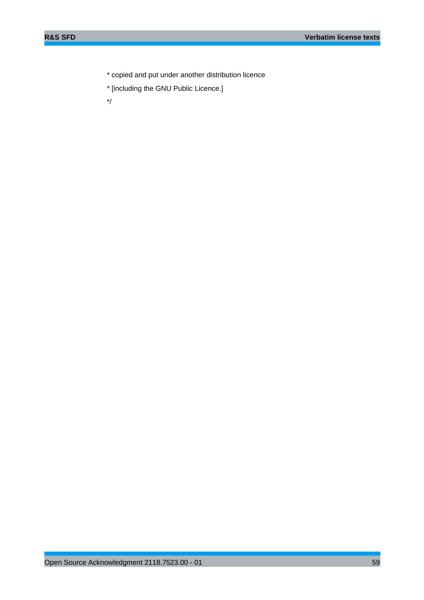\* copied and put under another distribution licence

\* [including the GNU Public Licence.]

\*/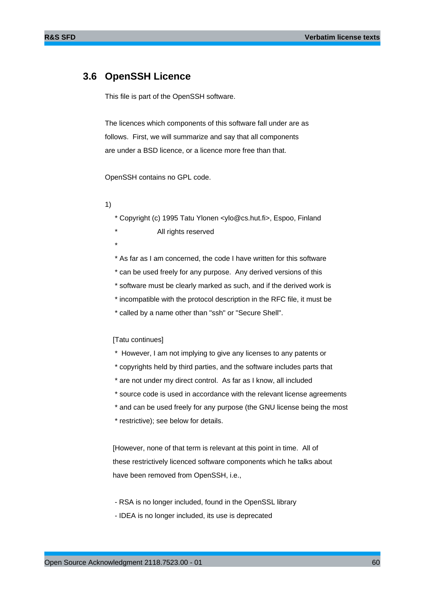## **3.6 OpenSSH Licence**

This file is part of the OpenSSH software.

The licences which components of this software fall under are as follows. First, we will summarize and say that all components are under a BSD licence, or a licence more free than that.

OpenSSH contains no GPL code.

- 1)
- \* Copyright (c) 1995 Tatu Ylonen <ylo@cs.hut.fi>, Espoo, Finland
	- All rights reserved
- \*

\* As far as I am concerned, the code I have written for this software

- \* can be used freely for any purpose. Any derived versions of this
- \* software must be clearly marked as such, and if the derived work is
- \* incompatible with the protocol description in the RFC file, it must be
- \* called by a name other than "ssh" or "Secure Shell".

#### [Tatu continues]

- \* However, I am not implying to give any licenses to any patents or
- \* copyrights held by third parties, and the software includes parts that
- \* are not under my direct control. As far as I know, all included
- \* source code is used in accordance with the relevant license agreements
- \* and can be used freely for any purpose (the GNU license being the most
- \* restrictive); see below for details.

 [However, none of that term is relevant at this point in time. All of these restrictively licenced software components which he talks about have been removed from OpenSSH, i.e.,

- RSA is no longer included, found in the OpenSSL library
- IDEA is no longer included, its use is deprecated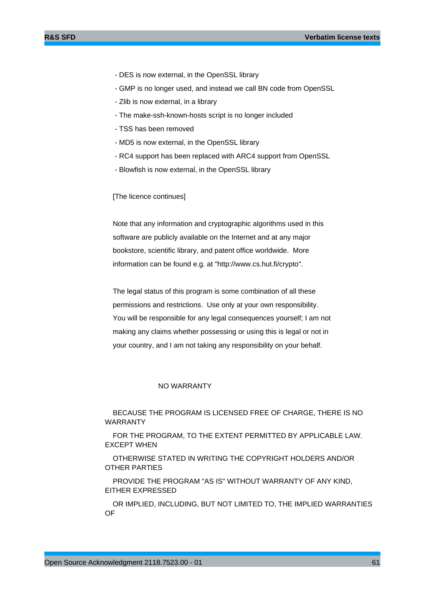- DES is now external, in the OpenSSL library
- GMP is no longer used, and instead we call BN code from OpenSSL
- Zlib is now external, in a library
- The make-ssh-known-hosts script is no longer included
- TSS has been removed
- MD5 is now external, in the OpenSSL library
- RC4 support has been replaced with ARC4 support from OpenSSL
- Blowfish is now external, in the OpenSSL library

#### [The licence continues]

 Note that any information and cryptographic algorithms used in this software are publicly available on the Internet and at any major bookstore, scientific library, and patent office worldwide. More information can be found e.g. at "http://www.cs.hut.fi/crypto".

 The legal status of this program is some combination of all these permissions and restrictions. Use only at your own responsibility. You will be responsible for any legal consequences yourself; I am not making any claims whether possessing or using this is legal or not in your country, and I am not taking any responsibility on your behalf.

#### NO WARRANTY

 BECAUSE THE PROGRAM IS LICENSED FREE OF CHARGE, THERE IS NO WARRANTY

 FOR THE PROGRAM, TO THE EXTENT PERMITTED BY APPLICABLE LAW. EXCEPT WHEN

 OTHERWISE STATED IN WRITING THE COPYRIGHT HOLDERS AND/OR OTHER PARTIES

 PROVIDE THE PROGRAM "AS IS" WITHOUT WARRANTY OF ANY KIND, EITHER EXPRESSED

 OR IMPLIED, INCLUDING, BUT NOT LIMITED TO, THE IMPLIED WARRANTIES OF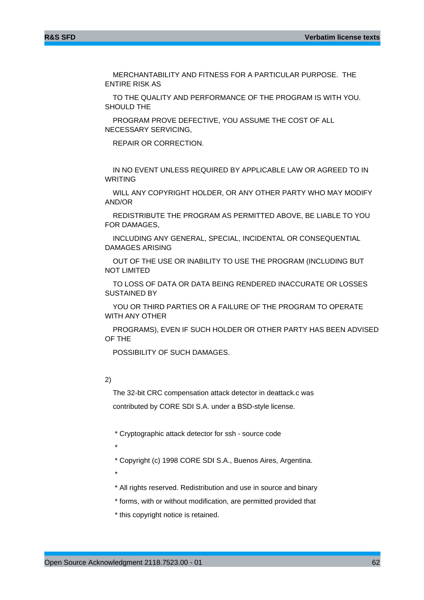MERCHANTABILITY AND FITNESS FOR A PARTICULAR PURPOSE. THE ENTIRE RISK AS

 TO THE QUALITY AND PERFORMANCE OF THE PROGRAM IS WITH YOU. SHOULD THE

 PROGRAM PROVE DEFECTIVE, YOU ASSUME THE COST OF ALL NECESSARY SERVICING,

REPAIR OR CORRECTION.

 IN NO EVENT UNLESS REQUIRED BY APPLICABLE LAW OR AGREED TO IN WRITING

 WILL ANY COPYRIGHT HOLDER, OR ANY OTHER PARTY WHO MAY MODIFY AND/OR

 REDISTRIBUTE THE PROGRAM AS PERMITTED ABOVE, BE LIABLE TO YOU FOR DAMAGES,

 INCLUDING ANY GENERAL, SPECIAL, INCIDENTAL OR CONSEQUENTIAL DAMAGES ARISING

 OUT OF THE USE OR INABILITY TO USE THE PROGRAM (INCLUDING BUT NOT LIMITED

 TO LOSS OF DATA OR DATA BEING RENDERED INACCURATE OR LOSSES SUSTAINED BY

 YOU OR THIRD PARTIES OR A FAILURE OF THE PROGRAM TO OPERATE WITH ANY OTHER

 PROGRAMS), EVEN IF SUCH HOLDER OR OTHER PARTY HAS BEEN ADVISED OF THE

POSSIBILITY OF SUCH DAMAGES.

## 2)

 The 32-bit CRC compensation attack detector in deattack.c was contributed by CORE SDI S.A. under a BSD-style license.

\* Cryptographic attack detector for ssh - source code

\*

\* Copyright (c) 1998 CORE SDI S.A., Buenos Aires, Argentina.

\*

\* All rights reserved. Redistribution and use in source and binary

\* forms, with or without modification, are permitted provided that

\* this copyright notice is retained.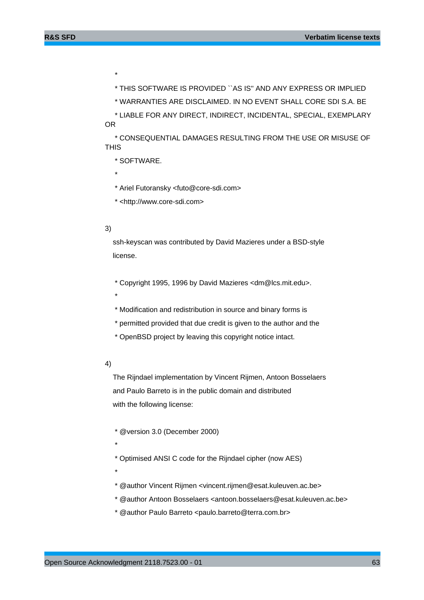\* THIS SOFTWARE IS PROVIDED ``AS IS'' AND ANY EXPRESS OR IMPLIED

\* WARRANTIES ARE DISCLAIMED. IN NO EVENT SHALL CORE SDI S.A. BE

 \* LIABLE FOR ANY DIRECT, INDIRECT, INCIDENTAL, SPECIAL, EXEMPLARY OR

 \* CONSEQUENTIAL DAMAGES RESULTING FROM THE USE OR MISUSE OF **THIS** 

\* SOFTWARE.

\* Ariel Futoransky <futo@core-sdi.com>

\* <http://www.core-sdi.com>

## 3)

\*

\*

\*

 ssh-keyscan was contributed by David Mazieres under a BSD-style license.

\* Copyright 1995, 1996 by David Mazieres <dm@lcs.mit.edu>.

\* Modification and redistribution in source and binary forms is

\* permitted provided that due credit is given to the author and the

\* OpenBSD project by leaving this copyright notice intact.

## 4)

 The Rijndael implementation by Vincent Rijmen, Antoon Bosselaers and Paulo Barreto is in the public domain and distributed with the following license:

\* @version 3.0 (December 2000)

\*

\* Optimised ANSI C code for the Rijndael cipher (now AES)

\*

\* @author Vincent Rijmen <vincent.rijmen@esat.kuleuven.ac.be>

- \* @author Antoon Bosselaers <antoon.bosselaers@esat.kuleuven.ac.be>
- \* @author Paulo Barreto <paulo.barreto@terra.com.br>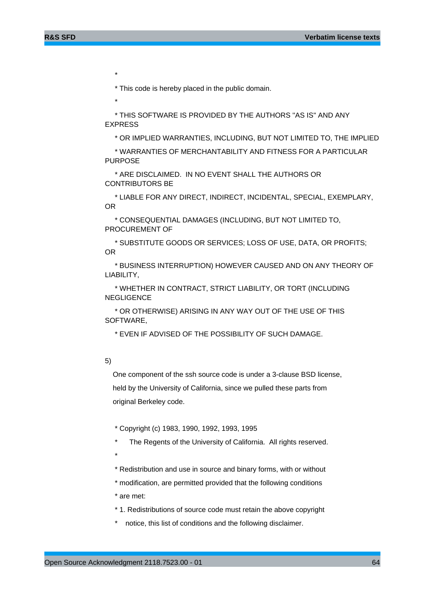\* This code is hereby placed in the public domain.

\*

\*

 \* THIS SOFTWARE IS PROVIDED BY THE AUTHORS ''AS IS'' AND ANY EXPRESS

\* OR IMPLIED WARRANTIES, INCLUDING, BUT NOT LIMITED TO, THE IMPLIED

 \* WARRANTIES OF MERCHANTABILITY AND FITNESS FOR A PARTICULAR PURPOSE

 \* ARE DISCLAIMED. IN NO EVENT SHALL THE AUTHORS OR CONTRIBUTORS BE

 \* LIABLE FOR ANY DIRECT, INDIRECT, INCIDENTAL, SPECIAL, EXEMPLARY, OR

 \* CONSEQUENTIAL DAMAGES (INCLUDING, BUT NOT LIMITED TO, PROCUREMENT OF

 \* SUBSTITUTE GOODS OR SERVICES; LOSS OF USE, DATA, OR PROFITS; OR

 \* BUSINESS INTERRUPTION) HOWEVER CAUSED AND ON ANY THEORY OF LIABILITY,

 \* WHETHER IN CONTRACT, STRICT LIABILITY, OR TORT (INCLUDING **NEGLIGENCE** 

 \* OR OTHERWISE) ARISING IN ANY WAY OUT OF THE USE OF THIS SOFTWARE,

\* EVEN IF ADVISED OF THE POSSIBILITY OF SUCH DAMAGE.

#### 5)

 One component of the ssh source code is under a 3-clause BSD license, held by the University of California, since we pulled these parts from original Berkeley code.

\* Copyright (c) 1983, 1990, 1992, 1993, 1995

The Regents of the University of California. All rights reserved.

- \*
	- \* Redistribution and use in source and binary forms, with or without
	- \* modification, are permitted provided that the following conditions

\* are met:

\* 1. Redistributions of source code must retain the above copyright

notice, this list of conditions and the following disclaimer.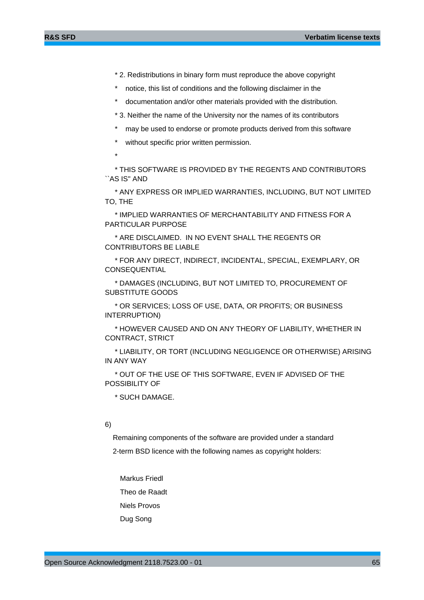- \* 2. Redistributions in binary form must reproduce the above copyright
- notice, this list of conditions and the following disclaimer in the
- documentation and/or other materials provided with the distribution.
- \* 3. Neither the name of the University nor the names of its contributors
- may be used to endorse or promote products derived from this software
- without specific prior written permission.
- \*

 \* THIS SOFTWARE IS PROVIDED BY THE REGENTS AND CONTRIBUTORS ``AS IS'' AND

 \* ANY EXPRESS OR IMPLIED WARRANTIES, INCLUDING, BUT NOT LIMITED TO, THE

 \* IMPLIED WARRANTIES OF MERCHANTABILITY AND FITNESS FOR A PARTICULAR PURPOSE

 \* ARE DISCLAIMED. IN NO EVENT SHALL THE REGENTS OR CONTRIBUTORS BE LIABLE

 \* FOR ANY DIRECT, INDIRECT, INCIDENTAL, SPECIAL, EXEMPLARY, OR **CONSEQUENTIAL** 

 \* DAMAGES (INCLUDING, BUT NOT LIMITED TO, PROCUREMENT OF SUBSTITUTE GOODS

 \* OR SERVICES; LOSS OF USE, DATA, OR PROFITS; OR BUSINESS INTERRUPTION)

 \* HOWEVER CAUSED AND ON ANY THEORY OF LIABILITY, WHETHER IN CONTRACT, STRICT

 \* LIABILITY, OR TORT (INCLUDING NEGLIGENCE OR OTHERWISE) ARISING IN ANY WAY

 \* OUT OF THE USE OF THIS SOFTWARE, EVEN IF ADVISED OF THE POSSIBILITY OF

\* SUCH DAMAGE.

## 6)

Remaining components of the software are provided under a standard

2-term BSD licence with the following names as copyright holders:

 Markus Friedl Theo de Raadt Niels Provos Dug Song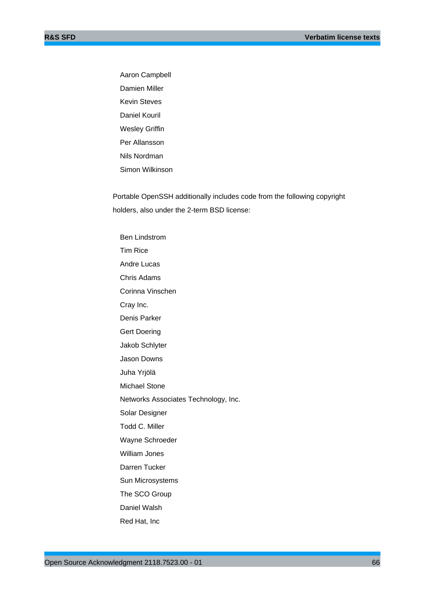Aaron Campbell Damien Miller Kevin Steves Daniel Kouril Wesley Griffin Per Allansson Nils Nordman Simon Wilkinson

 Portable OpenSSH additionally includes code from the following copyright holders, also under the 2-term BSD license:

 Ben Lindstrom Tim Rice Andre Lucas Chris Adams Corinna Vinschen Cray Inc. Denis Parker Gert Doering Jakob Schlyter Jason Downs Juha Yrjölä Michael Stone Networks Associates Technology, Inc. Solar Designer Todd C. Miller Wayne Schroeder William Jones Darren Tucker Sun Microsystems The SCO Group Daniel Walsh Red Hat, Inc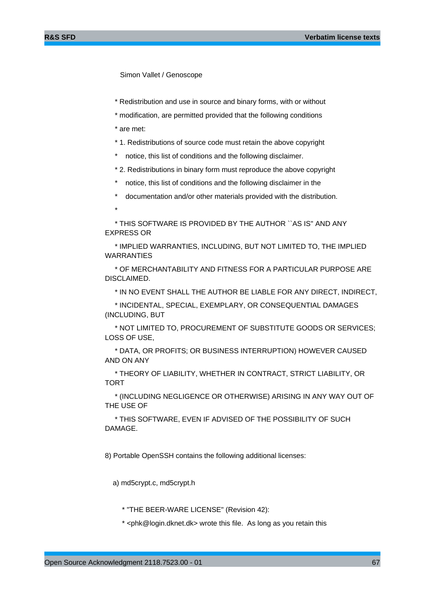Simon Vallet / Genoscope

- \* Redistribution and use in source and binary forms, with or without
- \* modification, are permitted provided that the following conditions
- \* are met:
- \* 1. Redistributions of source code must retain the above copyright
- notice, this list of conditions and the following disclaimer.
- \* 2. Redistributions in binary form must reproduce the above copyright
- notice, this list of conditions and the following disclaimer in the
- documentation and/or other materials provided with the distribution.
- \*

 \* THIS SOFTWARE IS PROVIDED BY THE AUTHOR ``AS IS'' AND ANY EXPRESS OR

 \* IMPLIED WARRANTIES, INCLUDING, BUT NOT LIMITED TO, THE IMPLIED WARRANTIES

 \* OF MERCHANTABILITY AND FITNESS FOR A PARTICULAR PURPOSE ARE DISCLAIMED.

\* IN NO EVENT SHALL THE AUTHOR BE LIABLE FOR ANY DIRECT, INDIRECT,

 \* INCIDENTAL, SPECIAL, EXEMPLARY, OR CONSEQUENTIAL DAMAGES (INCLUDING, BUT

 \* NOT LIMITED TO, PROCUREMENT OF SUBSTITUTE GOODS OR SERVICES; LOSS OF USE,

 \* DATA, OR PROFITS; OR BUSINESS INTERRUPTION) HOWEVER CAUSED AND ON ANY

 \* THEORY OF LIABILITY, WHETHER IN CONTRACT, STRICT LIABILITY, OR TORT

 \* (INCLUDING NEGLIGENCE OR OTHERWISE) ARISING IN ANY WAY OUT OF THE USE OF

 \* THIS SOFTWARE, EVEN IF ADVISED OF THE POSSIBILITY OF SUCH DAMAGE.

8) Portable OpenSSH contains the following additional licenses:

a) md5crypt.c, md5crypt.h

\* "THE BEER-WARE LICENSE" (Revision 42):

\* <phk@login.dknet.dk> wrote this file. As long as you retain this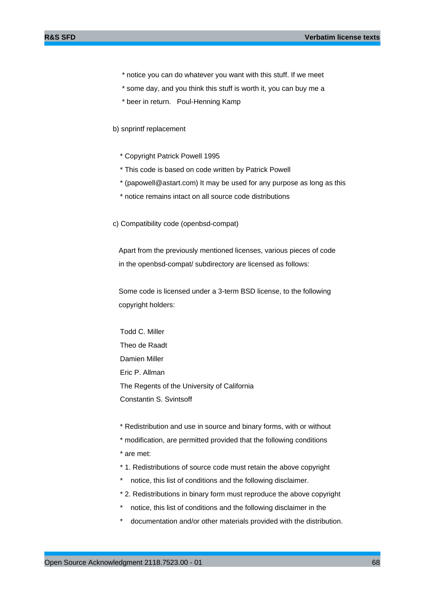- \* notice you can do whatever you want with this stuff. If we meet
- \* some day, and you think this stuff is worth it, you can buy me a
- \* beer in return. Poul-Henning Kamp
- b) snprintf replacement
	- \* Copyright Patrick Powell 1995
	- \* This code is based on code written by Patrick Powell
	- \* (papowell@astart.com) It may be used for any purpose as long as this
	- \* notice remains intact on all source code distributions

c) Compatibility code (openbsd-compat)

 Apart from the previously mentioned licenses, various pieces of code in the openbsd-compat/ subdirectory are licensed as follows:

 Some code is licensed under a 3-term BSD license, to the following copyright holders:

 Todd C. Miller Theo de Raadt Damien Miller Eric P. Allman The Regents of the University of California Constantin S. Svintsoff

- \* Redistribution and use in source and binary forms, with or without
- \* modification, are permitted provided that the following conditions
- \* are met:
- \* 1. Redistributions of source code must retain the above copyright
- \* notice, this list of conditions and the following disclaimer.
- \* 2. Redistributions in binary form must reproduce the above copyright
- \* notice, this list of conditions and the following disclaimer in the
- documentation and/or other materials provided with the distribution.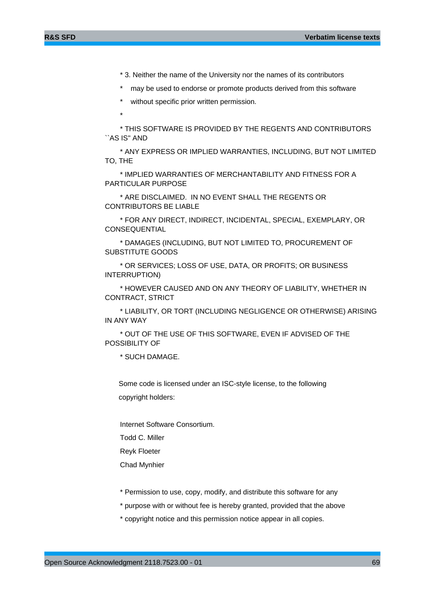- \* 3. Neither the name of the University nor the names of its contributors
- may be used to endorse or promote products derived from this software
- without specific prior written permission.
- $\star$

 \* THIS SOFTWARE IS PROVIDED BY THE REGENTS AND CONTRIBUTORS ``AS IS'' AND

 \* ANY EXPRESS OR IMPLIED WARRANTIES, INCLUDING, BUT NOT LIMITED TO, THE

 \* IMPLIED WARRANTIES OF MERCHANTABILITY AND FITNESS FOR A PARTICULAR PURPOSE

 \* ARE DISCLAIMED. IN NO EVENT SHALL THE REGENTS OR CONTRIBUTORS BE LIABLE

 \* FOR ANY DIRECT, INDIRECT, INCIDENTAL, SPECIAL, EXEMPLARY, OR CONSEQUENTIAL

 \* DAMAGES (INCLUDING, BUT NOT LIMITED TO, PROCUREMENT OF SUBSTITUTE GOODS

 \* OR SERVICES; LOSS OF USE, DATA, OR PROFITS; OR BUSINESS INTERRUPTION)

 \* HOWEVER CAUSED AND ON ANY THEORY OF LIABILITY, WHETHER IN CONTRACT, STRICT

 \* LIABILITY, OR TORT (INCLUDING NEGLIGENCE OR OTHERWISE) ARISING IN ANY WAY

 \* OUT OF THE USE OF THIS SOFTWARE, EVEN IF ADVISED OF THE POSSIBILITY OF

\* SUCH DAMAGE.

 Some code is licensed under an ISC-style license, to the following copyright holders:

Internet Software Consortium.

Todd C. Miller

Reyk Floeter

Chad Mynhier

- \* Permission to use, copy, modify, and distribute this software for any
- \* purpose with or without fee is hereby granted, provided that the above
- \* copyright notice and this permission notice appear in all copies.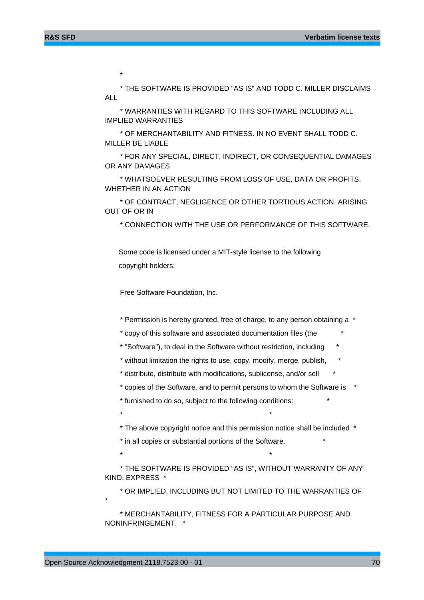$\star$ 

 \* THE SOFTWARE IS PROVIDED "AS IS" AND TODD C. MILLER DISCLAIMS ALL

 \* WARRANTIES WITH REGARD TO THIS SOFTWARE INCLUDING ALL IMPLIED WARRANTIES

 \* OF MERCHANTABILITY AND FITNESS. IN NO EVENT SHALL TODD C. MILLER BE LIABLE

 \* FOR ANY SPECIAL, DIRECT, INDIRECT, OR CONSEQUENTIAL DAMAGES OR ANY DAMAGES

 \* WHATSOEVER RESULTING FROM LOSS OF USE, DATA OR PROFITS, WHETHER IN AN ACTION

 \* OF CONTRACT, NEGLIGENCE OR OTHER TORTIOUS ACTION, ARISING OUT OF OR IN

\* CONNECTION WITH THE USE OR PERFORMANCE OF THIS SOFTWARE.

 Some code is licensed under a MIT-style license to the following copyright holders:

Free Software Foundation, Inc.

\* Permission is hereby granted, free of charge, to any person obtaining a \*

\* copy of this software and associated documentation files (the \*

\* "Software"), to deal in the Software without restriction, including \*

\* without limitation the rights to use, copy, modify, merge, publish, \*

\* distribute, distribute with modifications, sublicense, and/or sell \*

\* copies of the Software, and to permit persons to whom the Software is \*

\* furnished to do so, subject to the following conditions: \*

 $\star$   $\star$ 

\* The above copyright notice and this permission notice shall be included \*

\* in all copies or substantial portions of the Software. \*

 $\star$  \*

 \* THE SOFTWARE IS PROVIDED "AS IS", WITHOUT WARRANTY OF ANY KIND, EXPRESS \*

\* OR IMPLIED, INCLUDING BUT NOT LIMITED TO THE WARRANTIES OF

 \* MERCHANTABILITY, FITNESS FOR A PARTICULAR PURPOSE AND NONINFRINGEMENT. \*

\*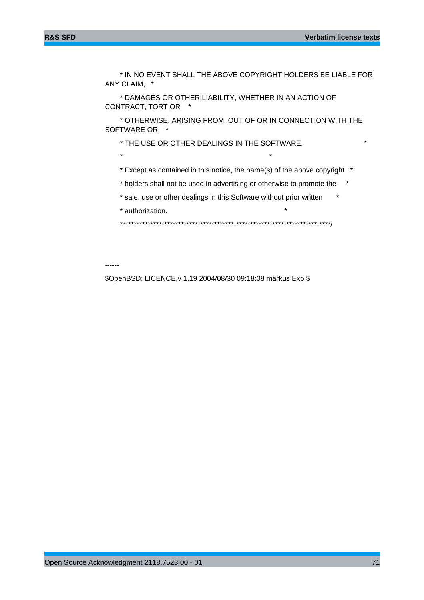\* IN NO EVENT SHALL THE ABOVE COPYRIGHT HOLDERS BE LIABLE FOR ANY CLAIM, \*

 \* DAMAGES OR OTHER LIABILITY, WHETHER IN AN ACTION OF CONTRACT, TORT OR \*

 \* OTHERWISE, ARISING FROM, OUT OF OR IN CONNECTION WITH THE SOFTWARE OR \*

\* THE USE OR OTHER DEALINGS IN THE SOFTWARE. \*

 $\star$   $\star$ 

\* Except as contained in this notice, the name(s) of the above copyright \*

\* holders shall not be used in advertising or otherwise to promote the \*

\* sale, use or other dealings in this Software without prior written \*

\* authorization.

\*\*\*\*\*\*\*\*\*\*\*\*\*\*\*\*\*\*\*\*\*\*\*\*\*\*\*\*\*\*\*\*\*\*\*\*\*\*\*\*\*\*\*\*\*\*\*\*\*\*\*\*\*\*\*\*\*\*\*\*\*\*\*\*\*\*\*\*\*\*\*\*\*\*\*\*/

------

\$OpenBSD: LICENCE,v 1.19 2004/08/30 09:18:08 markus Exp \$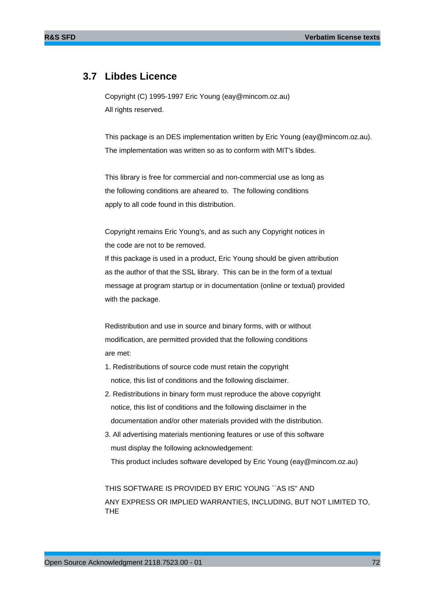# **3.7 Libdes Licence**

Copyright (C) 1995-1997 Eric Young (eay@mincom.oz.au) All rights reserved.

This package is an DES implementation written by Eric Young (eay@mincom.oz.au). The implementation was written so as to conform with MIT's libdes.

This library is free for commercial and non-commercial use as long as the following conditions are aheared to. The following conditions apply to all code found in this distribution.

Copyright remains Eric Young's, and as such any Copyright notices in the code are not to be removed.

If this package is used in a product, Eric Young should be given attribution as the author of that the SSL library. This can be in the form of a textual message at program startup or in documentation (online or textual) provided with the package.

Redistribution and use in source and binary forms, with or without modification, are permitted provided that the following conditions are met:

- 1. Redistributions of source code must retain the copyright notice, this list of conditions and the following disclaimer.
- 2. Redistributions in binary form must reproduce the above copyright notice, this list of conditions and the following disclaimer in the documentation and/or other materials provided with the distribution.
- 3. All advertising materials mentioning features or use of this software must display the following acknowledgement:

This product includes software developed by Eric Young (eay@mincom.oz.au)

THIS SOFTWARE IS PROVIDED BY ERIC YOUNG ``AS IS'' AND ANY EXPRESS OR IMPLIED WARRANTIES, INCLUDING, BUT NOT LIMITED TO, THE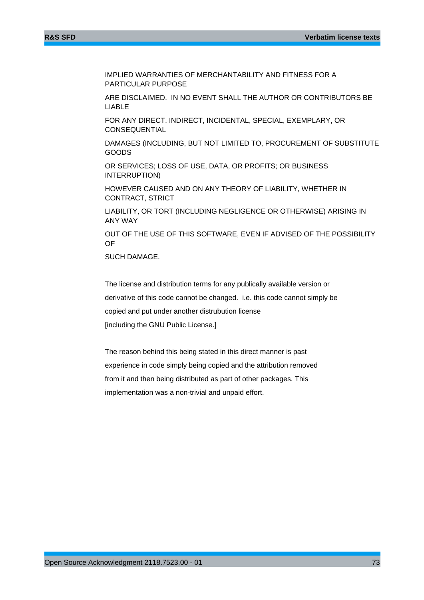IMPLIED WARRANTIES OF MERCHANTABILITY AND FITNESS FOR A PARTICULAR PURPOSE

ARE DISCLAIMED. IN NO EVENT SHALL THE AUTHOR OR CONTRIBUTORS BE LIABLE

FOR ANY DIRECT, INDIRECT, INCIDENTAL, SPECIAL, EXEMPLARY, OR **CONSEQUENTIAL** 

DAMAGES (INCLUDING, BUT NOT LIMITED TO, PROCUREMENT OF SUBSTITUTE GOODS

OR SERVICES; LOSS OF USE, DATA, OR PROFITS; OR BUSINESS INTERRUPTION)

HOWEVER CAUSED AND ON ANY THEORY OF LIABILITY, WHETHER IN CONTRACT, STRICT

LIABILITY, OR TORT (INCLUDING NEGLIGENCE OR OTHERWISE) ARISING IN ANY WAY

OUT OF THE USE OF THIS SOFTWARE, EVEN IF ADVISED OF THE POSSIBILITY OF

SUCH DAMAGE.

The license and distribution terms for any publically available version or derivative of this code cannot be changed. i.e. this code cannot simply be copied and put under another distrubution license [including the GNU Public License.]

The reason behind this being stated in this direct manner is past experience in code simply being copied and the attribution removed from it and then being distributed as part of other packages. This implementation was a non-trivial and unpaid effort.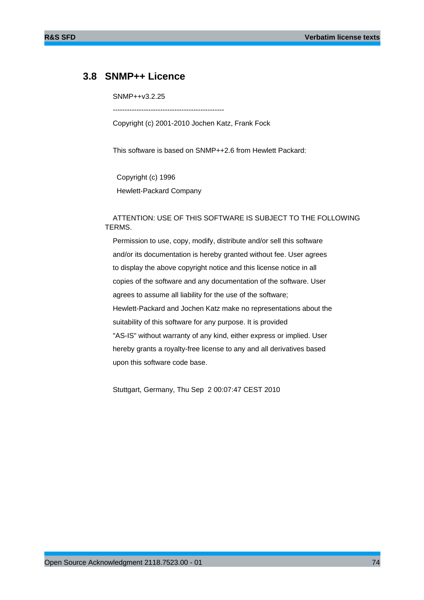## **3.8 SNMP++ Licence**

SNMP++v3.2.25

 $-$ 

Copyright (c) 2001-2010 Jochen Katz, Frank Fock

This software is based on SNMP++2.6 from Hewlett Packard:

 Copyright (c) 1996 Hewlett-Packard Company

 ATTENTION: USE OF THIS SOFTWARE IS SUBJECT TO THE FOLLOWING TERMS.

 Permission to use, copy, modify, distribute and/or sell this software and/or its documentation is hereby granted without fee. User agrees to display the above copyright notice and this license notice in all copies of the software and any documentation of the software. User agrees to assume all liability for the use of the software; Hewlett-Packard and Jochen Katz make no representations about the suitability of this software for any purpose. It is provided "AS-IS" without warranty of any kind, either express or implied. User hereby grants a royalty-free license to any and all derivatives based upon this software code base.

Stuttgart, Germany, Thu Sep 2 00:07:47 CEST 2010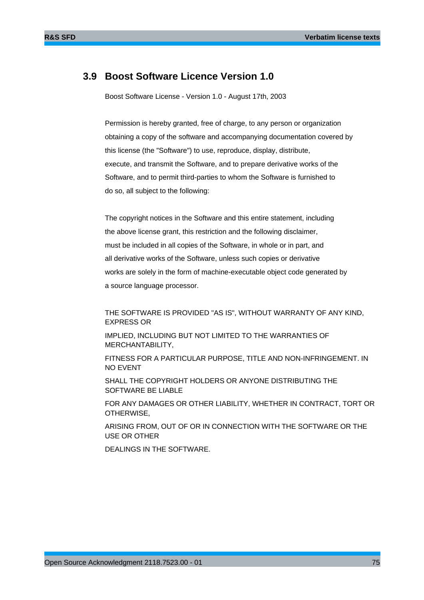## **3.9 Boost Software Licence Version 1.0**

Boost Software License - Version 1.0 - August 17th, 2003

Permission is hereby granted, free of charge, to any person or organization obtaining a copy of the software and accompanying documentation covered by this license (the "Software") to use, reproduce, display, distribute, execute, and transmit the Software, and to prepare derivative works of the Software, and to permit third-parties to whom the Software is furnished to do so, all subject to the following:

The copyright notices in the Software and this entire statement, including the above license grant, this restriction and the following disclaimer, must be included in all copies of the Software, in whole or in part, and all derivative works of the Software, unless such copies or derivative works are solely in the form of machine-executable object code generated by a source language processor.

THE SOFTWARE IS PROVIDED "AS IS", WITHOUT WARRANTY OF ANY KIND, EXPRESS OR

IMPLIED, INCLUDING BUT NOT LIMITED TO THE WARRANTIES OF MERCHANTABILITY,

FITNESS FOR A PARTICULAR PURPOSE, TITLE AND NON-INFRINGEMENT. IN NO EVENT

SHALL THE COPYRIGHT HOLDERS OR ANYONE DISTRIBUTING THE SOFTWARE BE LIABLE

FOR ANY DAMAGES OR OTHER LIABILITY, WHETHER IN CONTRACT, TORT OR OTHERWISE,

ARISING FROM, OUT OF OR IN CONNECTION WITH THE SOFTWARE OR THE USE OR OTHER

DEALINGS IN THE SOFTWARE.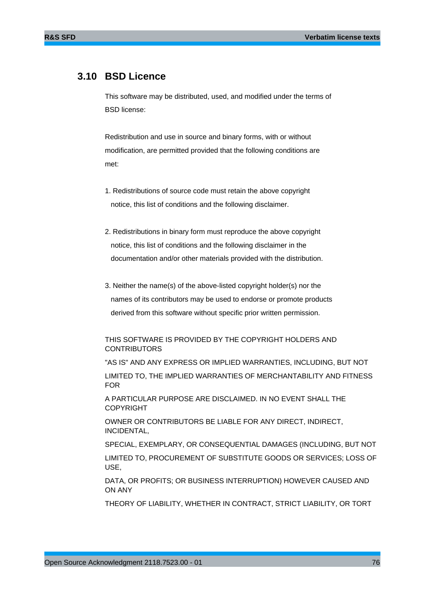## **3.10 BSD Licence**

This software may be distributed, used, and modified under the terms of BSD license:

Redistribution and use in source and binary forms, with or without modification, are permitted provided that the following conditions are met:

- 1. Redistributions of source code must retain the above copyright notice, this list of conditions and the following disclaimer.
- 2. Redistributions in binary form must reproduce the above copyright notice, this list of conditions and the following disclaimer in the documentation and/or other materials provided with the distribution.
- 3. Neither the name(s) of the above-listed copyright holder(s) nor the names of its contributors may be used to endorse or promote products derived from this software without specific prior written permission.

### THIS SOFTWARE IS PROVIDED BY THE COPYRIGHT HOLDERS AND **CONTRIBUTORS**

"AS IS" AND ANY EXPRESS OR IMPLIED WARRANTIES, INCLUDING, BUT NOT

LIMITED TO, THE IMPLIED WARRANTIES OF MERCHANTABILITY AND FITNESS FOR

A PARTICULAR PURPOSE ARE DISCLAIMED. IN NO EVENT SHALL THE COPYRIGHT

OWNER OR CONTRIBUTORS BE LIABLE FOR ANY DIRECT, INDIRECT, INCIDENTAL,

SPECIAL, EXEMPLARY, OR CONSEQUENTIAL DAMAGES (INCLUDING, BUT NOT

LIMITED TO, PROCUREMENT OF SUBSTITUTE GOODS OR SERVICES; LOSS OF USE,

DATA, OR PROFITS; OR BUSINESS INTERRUPTION) HOWEVER CAUSED AND ON ANY

THEORY OF LIABILITY, WHETHER IN CONTRACT, STRICT LIABILITY, OR TORT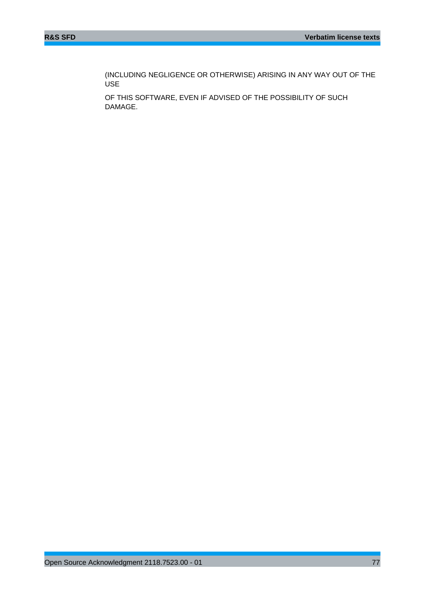(INCLUDING NEGLIGENCE OR OTHERWISE) ARISING IN ANY WAY OUT OF THE USE

OF THIS SOFTWARE, EVEN IF ADVISED OF THE POSSIBILITY OF SUCH DAMAGE.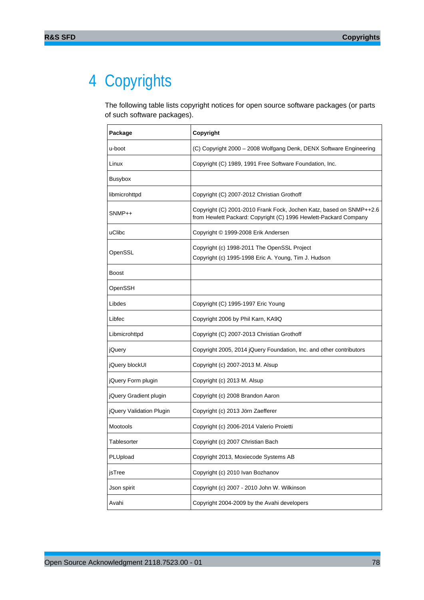# 4 Copyrights

The following table lists copyright notices for open source software packages (or parts of such software packages).

| Package                  | Copyright                                                                                                                               |
|--------------------------|-----------------------------------------------------------------------------------------------------------------------------------------|
| u-boot                   | (C) Copyright 2000 - 2008 Wolfgang Denk, DENX Software Engineering                                                                      |
| Linux                    | Copyright (C) 1989, 1991 Free Software Foundation, Inc.                                                                                 |
| Busybox                  |                                                                                                                                         |
| libmicrohttpd            | Copyright (C) 2007-2012 Christian Grothoff                                                                                              |
| SNMP++                   | Copyright (C) 2001-2010 Frank Fock, Jochen Katz, based on SNMP++2.6<br>from Hewlett Packard: Copyright (C) 1996 Hewlett-Packard Company |
| uClibc                   | Copyright © 1999-2008 Erik Andersen                                                                                                     |
| OpenSSL                  | Copyright (c) 1998-2011 The OpenSSL Project<br>Copyright (c) 1995-1998 Eric A. Young, Tim J. Hudson                                     |
| <b>Boost</b>             |                                                                                                                                         |
| OpenSSH                  |                                                                                                                                         |
| Libdes                   | Copyright (C) 1995-1997 Eric Young                                                                                                      |
| Libfec                   | Copyright 2006 by Phil Karn, KA9Q                                                                                                       |
| Libmicrohttpd            | Copyright (C) 2007-2013 Christian Grothoff                                                                                              |
| jQuery                   | Copyright 2005, 2014 jQuery Foundation, Inc. and other contributors                                                                     |
| jQuery blockUI           | Copyright (c) 2007-2013 M. Alsup                                                                                                        |
| jQuery Form plugin       | Copyright (c) 2013 M. Alsup                                                                                                             |
| jQuery Gradient plugin   | Copyright (c) 2008 Brandon Aaron                                                                                                        |
| jQuery Validation Plugin | Copyright (c) 2013 Jörn Zaefferer                                                                                                       |
| Mootools                 | Copyright (c) 2006-2014 Valerio Proietti                                                                                                |
| Tablesorter              | Copyright (c) 2007 Christian Bach                                                                                                       |
| PLUpload                 | Copyright 2013, Moxiecode Systems AB                                                                                                    |
| jsTree                   | Copyright (c) 2010 Ivan Bozhanov                                                                                                        |
| Json spirit              | Copyright (c) 2007 - 2010 John W. Wilkinson                                                                                             |
| Avahi                    | Copyright 2004-2009 by the Avahi developers                                                                                             |